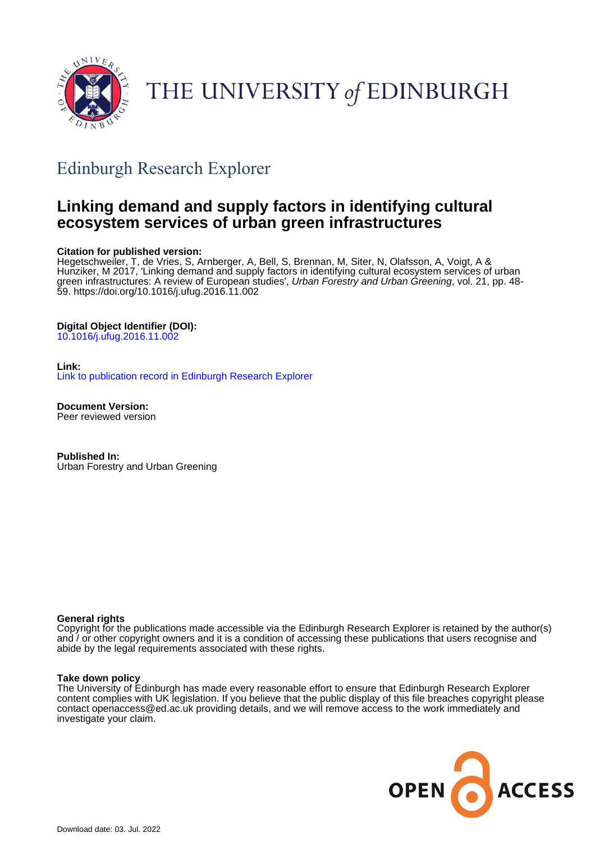

THE UNIVERSITY of EDINBURGH

# Edinburgh Research Explorer

# **Linking demand and supply factors in identifying cultural ecosystem services of urban green infrastructures**

#### **Citation for published version:**

Hegetschweiler, T, de Vries, S, Arnberger, A, Bell, S, Brennan, M, Siter, N, Olafsson, A, Voigt, A & Hunziker, M 2017, 'Linking demand and supply factors in identifying cultural ecosystem services of urban green infrastructures: A review of European studies', *Urban Forestry and Urban Greening*, vol. 21, pp. 48-59. <https://doi.org/10.1016/j.ufug.2016.11.002>

#### **Digital Object Identifier (DOI):**

[10.1016/j.ufug.2016.11.002](https://doi.org/10.1016/j.ufug.2016.11.002)

#### **Link:**

[Link to publication record in Edinburgh Research Explorer](https://www.research.ed.ac.uk/en/publications/ea6a84bc-c65a-485f-be39-1d797c2e6637)

**Document Version:** Peer reviewed version

**Published In:** Urban Forestry and Urban Greening

#### **General rights**

Copyright for the publications made accessible via the Edinburgh Research Explorer is retained by the author(s) and / or other copyright owners and it is a condition of accessing these publications that users recognise and abide by the legal requirements associated with these rights.

#### **Take down policy**

The University of Edinburgh has made every reasonable effort to ensure that Edinburgh Research Explorer content complies with UK legislation. If you believe that the public display of this file breaches copyright please contact openaccess@ed.ac.uk providing details, and we will remove access to the work immediately and investigate your claim.

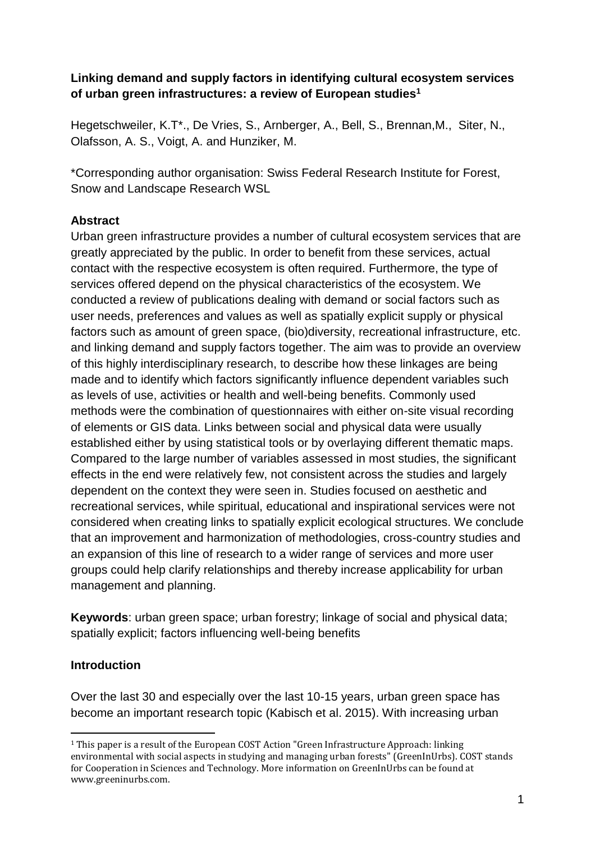# **Linking demand and supply factors in identifying cultural ecosystem services of urban green infrastructures: a review of European studies<sup>1</sup>**

Hegetschweiler, K.T\*., De Vries, S., Arnberger, A., Bell, S., Brennan,M., Siter, N., Olafsson, A. S., Voigt, A. and Hunziker, M.

\*Corresponding author organisation: Swiss Federal Research Institute for Forest, Snow and Landscape Research WSL

# **Abstract**

Urban green infrastructure provides a number of cultural ecosystem services that are greatly appreciated by the public. In order to benefit from these services, actual contact with the respective ecosystem is often required. Furthermore, the type of services offered depend on the physical characteristics of the ecosystem. We conducted a review of publications dealing with demand or social factors such as user needs, preferences and values as well as spatially explicit supply or physical factors such as amount of green space, (bio)diversity, recreational infrastructure, etc. and linking demand and supply factors together. The aim was to provide an overview of this highly interdisciplinary research, to describe how these linkages are being made and to identify which factors significantly influence dependent variables such as levels of use, activities or health and well-being benefits. Commonly used methods were the combination of questionnaires with either on-site visual recording of elements or GIS data. Links between social and physical data were usually established either by using statistical tools or by overlaying different thematic maps. Compared to the large number of variables assessed in most studies, the significant effects in the end were relatively few, not consistent across the studies and largely dependent on the context they were seen in. Studies focused on aesthetic and recreational services, while spiritual, educational and inspirational services were not considered when creating links to spatially explicit ecological structures. We conclude that an improvement and harmonization of methodologies, cross-country studies and an expansion of this line of research to a wider range of services and more user groups could help clarify relationships and thereby increase applicability for urban management and planning.

**Keywords**: urban green space; urban forestry; linkage of social and physical data; spatially explicit; factors influencing well-being benefits

# **Introduction**

 $\overline{a}$ 

Over the last 30 and especially over the last 10-15 years, urban green space has become an important research topic (Kabisch et al. 2015). With increasing urban

<sup>1</sup> This paper is a result of the European COST Action "Green Infrastructure Approach: linking environmental with social aspects in studying and managing urban forests" (GreenInUrbs). COST stands for Cooperation in Sciences and Technology. More information on GreenInUrbs can be found at www.greeninurbs.com.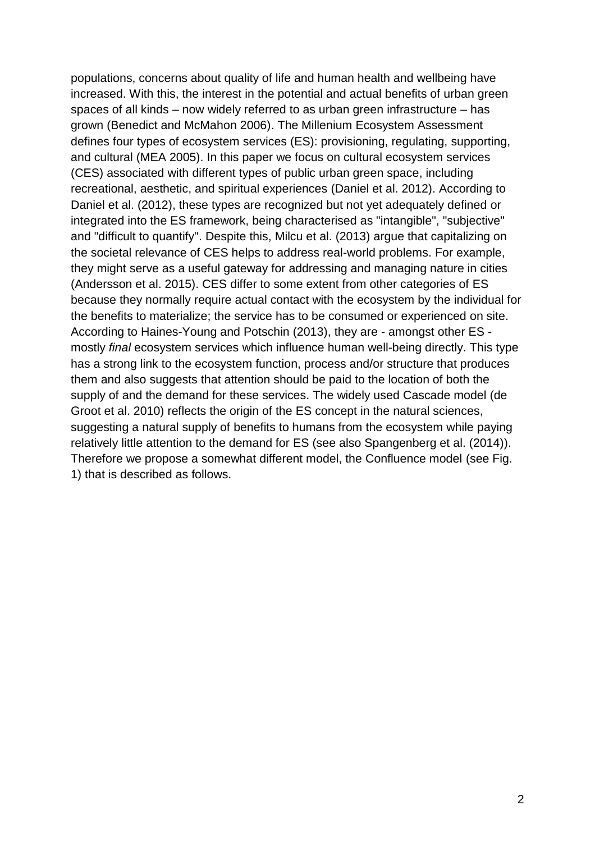populations, concerns about quality of life and human health and wellbeing have increased. With this, the interest in the potential and actual benefits of urban green spaces of all kinds – now widely referred to as urban green infrastructure – has grown (Benedict and McMahon 2006). The Millenium Ecosystem Assessment defines four types of ecosystem services (ES): provisioning, regulating, supporting, and cultural (MEA 2005). In this paper we focus on cultural ecosystem services (CES) associated with different types of public urban green space, including recreational, aesthetic, and spiritual experiences (Daniel et al. 2012). According to Daniel et al. (2012), these types are recognized but not yet adequately defined or integrated into the ES framework, being characterised as "intangible", "subjective" and "difficult to quantify". Despite this, Milcu et al. (2013) argue that capitalizing on the societal relevance of CES helps to address real-world problems. For example, they might serve as a useful gateway for addressing and managing nature in cities (Andersson et al. 2015). CES differ to some extent from other categories of ES because they normally require actual contact with the ecosystem by the individual for the benefits to materialize; the service has to be consumed or experienced on site. According to Haines-Young and Potschin (2013), they are - amongst other ES mostly *final* ecosystem services which influence human well-being directly. This type has a strong link to the ecosystem function, process and/or structure that produces them and also suggests that attention should be paid to the location of both the supply of and the demand for these services. The widely used Cascade model (de Groot et al. 2010) reflects the origin of the ES concept in the natural sciences, suggesting a natural supply of benefits to humans from the ecosystem while paying relatively little attention to the demand for ES (see also Spangenberg et al. (2014)). Therefore we propose a somewhat different model, the Confluence model (see Fig. 1) that is described as follows.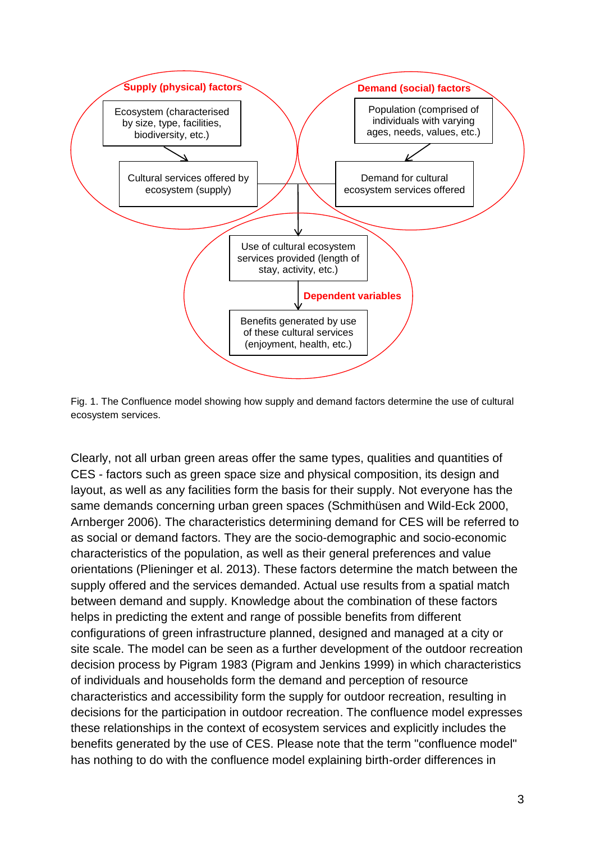

Fig. 1. The Confluence model showing how supply and demand factors determine the use of cultural ecosystem services.

Clearly, not all urban green areas offer the same types, qualities and quantities of CES - factors such as green space size and physical composition, its design and layout, as well as any facilities form the basis for their supply. Not everyone has the same demands concerning urban green spaces (Schmithüsen and Wild-Eck 2000, Arnberger 2006). The characteristics determining demand for CES will be referred to as social or demand factors. They are the socio-demographic and socio-economic characteristics of the population, as well as their general preferences and value orientations (Plieninger et al. 2013). These factors determine the match between the supply offered and the services demanded. Actual use results from a spatial match between demand and supply. Knowledge about the combination of these factors helps in predicting the extent and range of possible benefits from different configurations of green infrastructure planned, designed and managed at a city or site scale. The model can be seen as a further development of the outdoor recreation decision process by Pigram 1983 (Pigram and Jenkins 1999) in which characteristics of individuals and households form the demand and perception of resource characteristics and accessibility form the supply for outdoor recreation, resulting in decisions for the participation in outdoor recreation. The confluence model expresses these relationships in the context of ecosystem services and explicitly includes the benefits generated by the use of CES. Please note that the term "confluence model" has nothing to do with the confluence model explaining birth-order differences in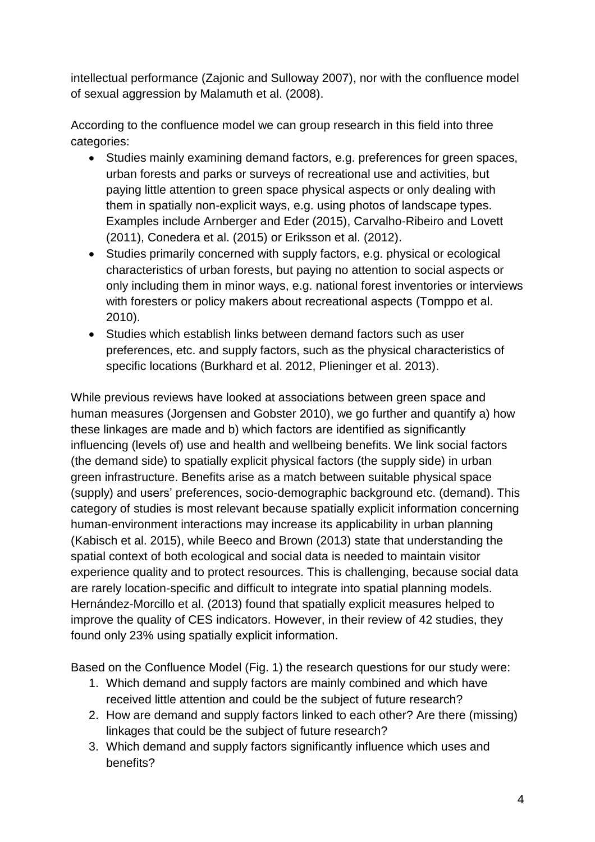intellectual performance (Zajonic and Sulloway 2007), nor with the confluence model of sexual aggression by Malamuth et al. (2008).

According to the confluence model we can group research in this field into three categories:

- Studies mainly examining demand factors, e.g. preferences for green spaces, urban forests and parks or surveys of recreational use and activities, but paying little attention to green space physical aspects or only dealing with them in spatially non-explicit ways, e.g. using photos of landscape types. Examples include Arnberger and Eder (2015), Carvalho-Ribeiro and Lovett (2011), Conedera et al. (2015) or Eriksson et al. (2012).
- Studies primarily concerned with supply factors, e.g. physical or ecological characteristics of urban forests, but paying no attention to social aspects or only including them in minor ways, e.g. national forest inventories or interviews with foresters or policy makers about recreational aspects (Tomppo et al. 2010).
- Studies which establish links between demand factors such as user preferences, etc. and supply factors, such as the physical characteristics of specific locations (Burkhard et al. 2012, Plieninger et al. 2013).

While previous reviews have looked at associations between green space and human measures (Jorgensen and Gobster 2010), we go further and quantify a) how these linkages are made and b) which factors are identified as significantly influencing (levels of) use and health and wellbeing benefits. We link social factors (the demand side) to spatially explicit physical factors (the supply side) in urban green infrastructure. Benefits arise as a match between suitable physical space (supply) and users' preferences, socio-demographic background etc. (demand). This category of studies is most relevant because spatially explicit information concerning human-environment interactions may increase its applicability in urban planning (Kabisch et al. 2015), while Beeco and Brown (2013) state that understanding the spatial context of both ecological and social data is needed to maintain visitor experience quality and to protect resources. This is challenging, because social data are rarely location-specific and difficult to integrate into spatial planning models. Hernández-Morcillo et al. (2013) found that spatially explicit measures helped to improve the quality of CES indicators. However, in their review of 42 studies, they found only 23% using spatially explicit information.

Based on the Confluence Model (Fig. 1) the research questions for our study were:

- 1. Which demand and supply factors are mainly combined and which have received little attention and could be the subject of future research?
- 2. How are demand and supply factors linked to each other? Are there (missing) linkages that could be the subject of future research?
- 3. Which demand and supply factors significantly influence which uses and benefits?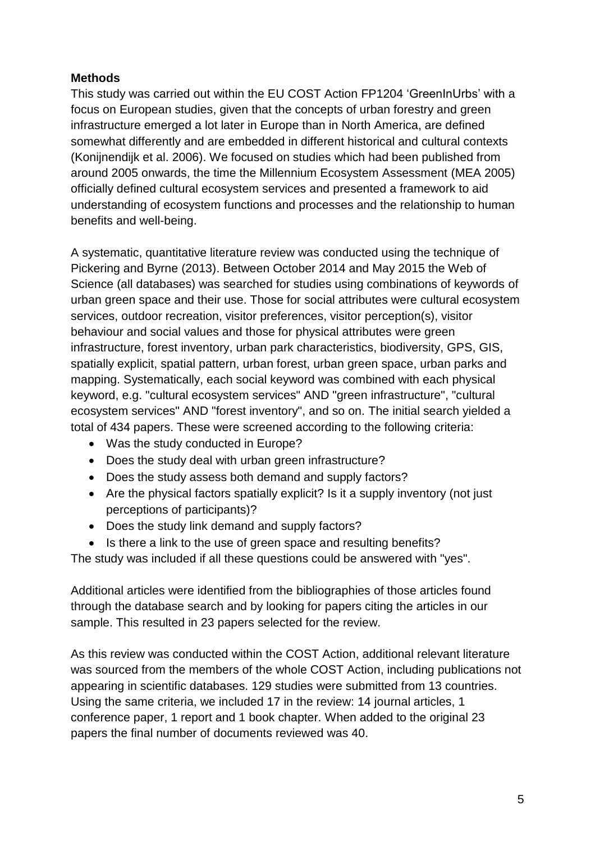# **Methods**

This study was carried out within the EU COST Action FP1204 'GreenInUrbs' with a focus on European studies, given that the concepts of urban forestry and green infrastructure emerged a lot later in Europe than in North America, are defined somewhat differently and are embedded in different historical and cultural contexts (Konijnendijk et al. 2006). We focused on studies which had been published from around 2005 onwards, the time the Millennium Ecosystem Assessment (MEA 2005) officially defined cultural ecosystem services and presented a framework to aid understanding of ecosystem functions and processes and the relationship to human benefits and well-being.

A systematic, quantitative literature review was conducted using the technique of Pickering and Byrne (2013). Between October 2014 and May 2015 the Web of Science (all databases) was searched for studies using combinations of keywords of urban green space and their use. Those for social attributes were cultural ecosystem services, outdoor recreation, visitor preferences, visitor perception(s), visitor behaviour and social values and those for physical attributes were green infrastructure, forest inventory, urban park characteristics, biodiversity, GPS, GIS, spatially explicit, spatial pattern, urban forest, urban green space, urban parks and mapping. Systematically, each social keyword was combined with each physical keyword, e.g. "cultural ecosystem services" AND "green infrastructure", "cultural ecosystem services" AND "forest inventory", and so on. The initial search yielded a total of 434 papers. These were screened according to the following criteria:

- Was the study conducted in Europe?
- Does the study deal with urban green infrastructure?
- Does the study assess both demand and supply factors?
- Are the physical factors spatially explicit? Is it a supply inventory (not just perceptions of participants)?
- Does the study link demand and supply factors?
- Is there a link to the use of green space and resulting benefits?

The study was included if all these questions could be answered with "yes".

Additional articles were identified from the bibliographies of those articles found through the database search and by looking for papers citing the articles in our sample. This resulted in 23 papers selected for the review.

As this review was conducted within the COST Action, additional relevant literature was sourced from the members of the whole COST Action, including publications not appearing in scientific databases. 129 studies were submitted from 13 countries. Using the same criteria, we included 17 in the review: 14 journal articles, 1 conference paper, 1 report and 1 book chapter. When added to the original 23 papers the final number of documents reviewed was 40.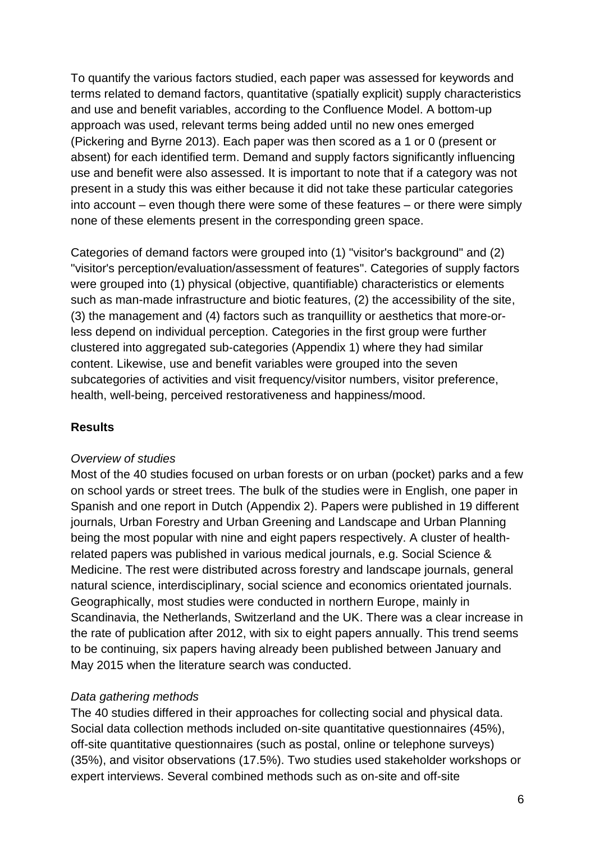To quantify the various factors studied, each paper was assessed for keywords and terms related to demand factors, quantitative (spatially explicit) supply characteristics and use and benefit variables, according to the Confluence Model. A bottom-up approach was used, relevant terms being added until no new ones emerged (Pickering and Byrne 2013). Each paper was then scored as a 1 or 0 (present or absent) for each identified term. Demand and supply factors significantly influencing use and benefit were also assessed. It is important to note that if a category was not present in a study this was either because it did not take these particular categories into account – even though there were some of these features – or there were simply none of these elements present in the corresponding green space.

Categories of demand factors were grouped into (1) "visitor's background" and (2) "visitor's perception/evaluation/assessment of features". Categories of supply factors were grouped into (1) physical (objective, quantifiable) characteristics or elements such as man-made infrastructure and biotic features, (2) the accessibility of the site, (3) the management and (4) factors such as tranquillity or aesthetics that more-orless depend on individual perception. Categories in the first group were further clustered into aggregated sub-categories (Appendix 1) where they had similar content. Likewise, use and benefit variables were grouped into the seven subcategories of activities and visit frequency/visitor numbers, visitor preference, health, well-being, perceived restorativeness and happiness/mood.

### **Results**

#### *Overview of studies*

Most of the 40 studies focused on urban forests or on urban (pocket) parks and a few on school yards or street trees. The bulk of the studies were in English, one paper in Spanish and one report in Dutch (Appendix 2). Papers were published in 19 different journals, Urban Forestry and Urban Greening and Landscape and Urban Planning being the most popular with nine and eight papers respectively. A cluster of healthrelated papers was published in various medical journals, e.g. Social Science & Medicine. The rest were distributed across forestry and landscape journals, general natural science, interdisciplinary, social science and economics orientated journals. Geographically, most studies were conducted in northern Europe, mainly in Scandinavia, the Netherlands, Switzerland and the UK. There was a clear increase in the rate of publication after 2012, with six to eight papers annually. This trend seems to be continuing, six papers having already been published between January and May 2015 when the literature search was conducted.

### *Data gathering methods*

The 40 studies differed in their approaches for collecting social and physical data. Social data collection methods included on-site quantitative questionnaires (45%), off-site quantitative questionnaires (such as postal, online or telephone surveys) (35%), and visitor observations (17.5%). Two studies used stakeholder workshops or expert interviews. Several combined methods such as on-site and off-site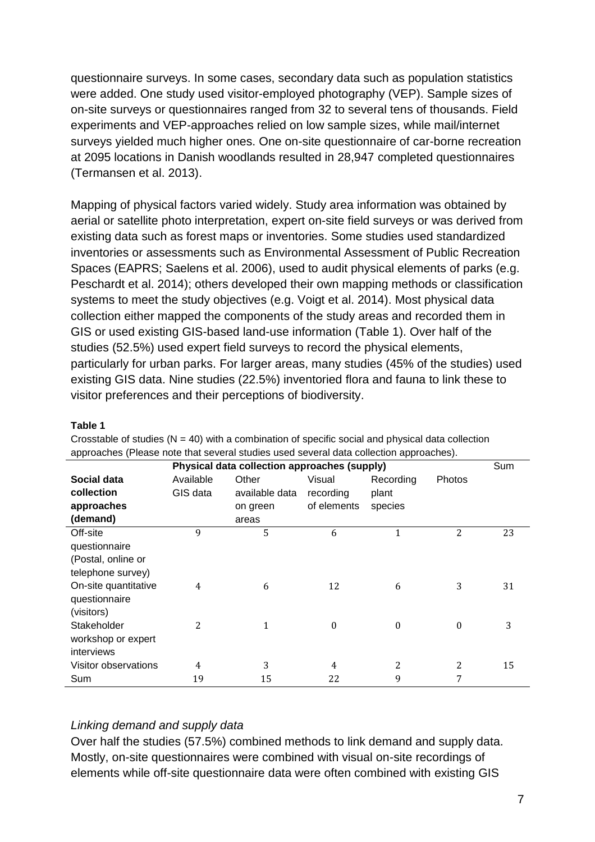questionnaire surveys. In some cases, secondary data such as population statistics were added. One study used visitor-employed photography (VEP). Sample sizes of on-site surveys or questionnaires ranged from 32 to several tens of thousands. Field experiments and VEP-approaches relied on low sample sizes, while mail/internet surveys yielded much higher ones. One on-site questionnaire of car-borne recreation at 2095 locations in Danish woodlands resulted in 28,947 completed questionnaires (Termansen et al. 2013).

Mapping of physical factors varied widely. Study area information was obtained by aerial or satellite photo interpretation, expert on-site field surveys or was derived from existing data such as forest maps or inventories. Some studies used standardized inventories or assessments such as Environmental Assessment of Public Recreation Spaces (EAPRS; Saelens et al. 2006), used to audit physical elements of parks (e.g. Peschardt et al. 2014); others developed their own mapping methods or classification systems to meet the study objectives (e.g. Voigt et al. 2014). Most physical data collection either mapped the components of the study areas and recorded them in GIS or used existing GIS-based land-use information (Table 1). Over half of the studies (52.5%) used expert field surveys to record the physical elements, particularly for urban parks. For larger areas, many studies (45% of the studies) used existing GIS data. Nine studies (22.5%) inventoried flora and fauna to link these to visitor preferences and their perceptions of biodiversity.

#### **Table 1**

| approaches (Please note that several studies used several data collection approaches). |                |                |                |           |          |     |
|----------------------------------------------------------------------------------------|----------------|----------------|----------------|-----------|----------|-----|
| Physical data collection approaches (supply)                                           |                |                |                |           |          | Sum |
| Social data                                                                            | Available      | Other          | Visual         | Recording | Photos   |     |
| collection                                                                             | GIS data       | available data | recording      | plant     |          |     |
| approaches                                                                             |                | on green       | of elements    | species   |          |     |
| (demand)                                                                               |                | areas          |                |           |          |     |
| Off-site                                                                               | 9              | 5              | 6              | 1         | 2        | 23  |
| questionnaire                                                                          |                |                |                |           |          |     |
| (Postal, online or                                                                     |                |                |                |           |          |     |
| telephone survey)                                                                      |                |                |                |           |          |     |
| On-site quantitative                                                                   | 4              | 6              | 12             | 6         | 3        | 31  |
| questionnaire                                                                          |                |                |                |           |          |     |
| (visitors)                                                                             |                |                |                |           |          |     |
| Stakeholder                                                                            | 2              | 1              | $\theta$       | $\theta$  | $\Omega$ | 3   |
| workshop or expert                                                                     |                |                |                |           |          |     |
| interviews                                                                             |                |                |                |           |          |     |
| Visitor observations                                                                   | $\overline{4}$ | 3              | $\overline{4}$ | 2         | 2        | 15  |
| Sum                                                                                    | 19             | 15             | 22             | 9         | 7        |     |

Crosstable of studies  $(N = 40)$  with a combination of specific social and physical data collection approaches (Please note that several studies used several data collection approaches).

### *Linking demand and supply data*

Over half the studies (57.5%) combined methods to link demand and supply data. Mostly, on-site questionnaires were combined with visual on-site recordings of elements while off-site questionnaire data were often combined with existing GIS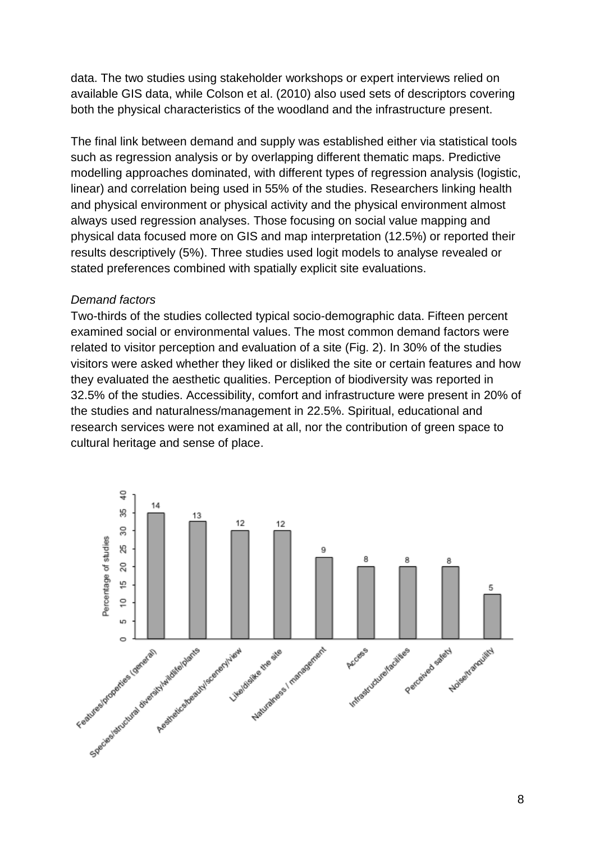data. The two studies using stakeholder workshops or expert interviews relied on available GIS data, while Colson et al. (2010) also used sets of descriptors covering both the physical characteristics of the woodland and the infrastructure present.

The final link between demand and supply was established either via statistical tools such as regression analysis or by overlapping different thematic maps. Predictive modelling approaches dominated, with different types of regression analysis (logistic, linear) and correlation being used in 55% of the studies. Researchers linking health and physical environment or physical activity and the physical environment almost always used regression analyses. Those focusing on social value mapping and physical data focused more on GIS and map interpretation (12.5%) or reported their results descriptively (5%). Three studies used logit models to analyse revealed or stated preferences combined with spatially explicit site evaluations.

#### *Demand factors*

Two-thirds of the studies collected typical socio-demographic data. Fifteen percent examined social or environmental values. The most common demand factors were related to visitor perception and evaluation of a site (Fig. 2). In 30% of the studies visitors were asked whether they liked or disliked the site or certain features and how they evaluated the aesthetic qualities. Perception of biodiversity was reported in 32.5% of the studies. Accessibility, comfort and infrastructure were present in 20% of the studies and naturalness/management in 22.5%. Spiritual, educational and research services were not examined at all, nor the contribution of green space to cultural heritage and sense of place.

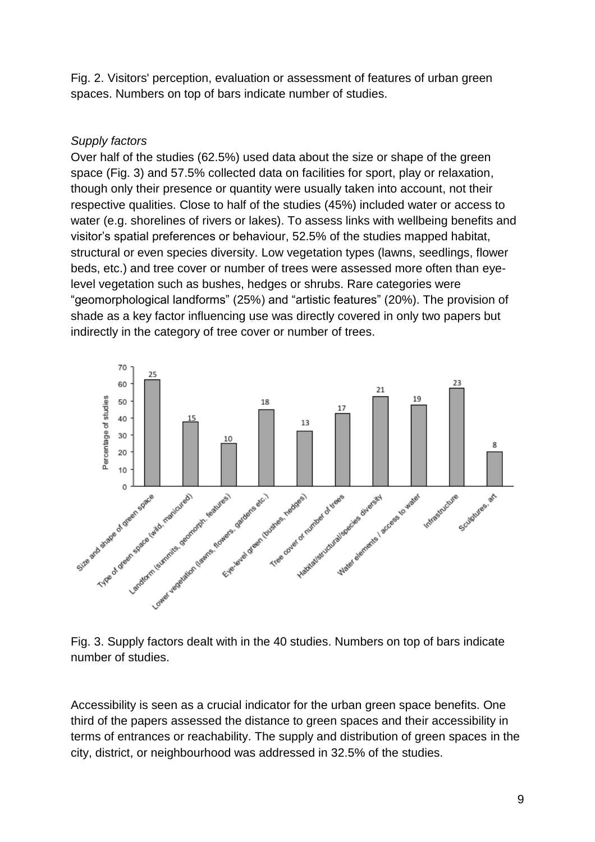Fig. 2. Visitors' perception, evaluation or assessment of features of urban green spaces. Numbers on top of bars indicate number of studies.

# *Supply factors*

Over half of the studies (62.5%) used data about the size or shape of the green space (Fig. 3) and 57.5% collected data on facilities for sport, play or relaxation, though only their presence or quantity were usually taken into account, not their respective qualities. Close to half of the studies (45%) included water or access to water (e.g. shorelines of rivers or lakes). To assess links with wellbeing benefits and visitor's spatial preferences or behaviour, 52.5% of the studies mapped habitat, structural or even species diversity. Low vegetation types (lawns, seedlings, flower beds, etc.) and tree cover or number of trees were assessed more often than eyelevel vegetation such as bushes, hedges or shrubs. Rare categories were "geomorphological landforms" (25%) and "artistic features" (20%). The provision of shade as a key factor influencing use was directly covered in only two papers but indirectly in the category of tree cover or number of trees.



Fig. 3. Supply factors dealt with in the 40 studies. Numbers on top of bars indicate number of studies.

Accessibility is seen as a crucial indicator for the urban green space benefits. One third of the papers assessed the distance to green spaces and their accessibility in terms of entrances or reachability. The supply and distribution of green spaces in the city, district, or neighbourhood was addressed in 32.5% of the studies.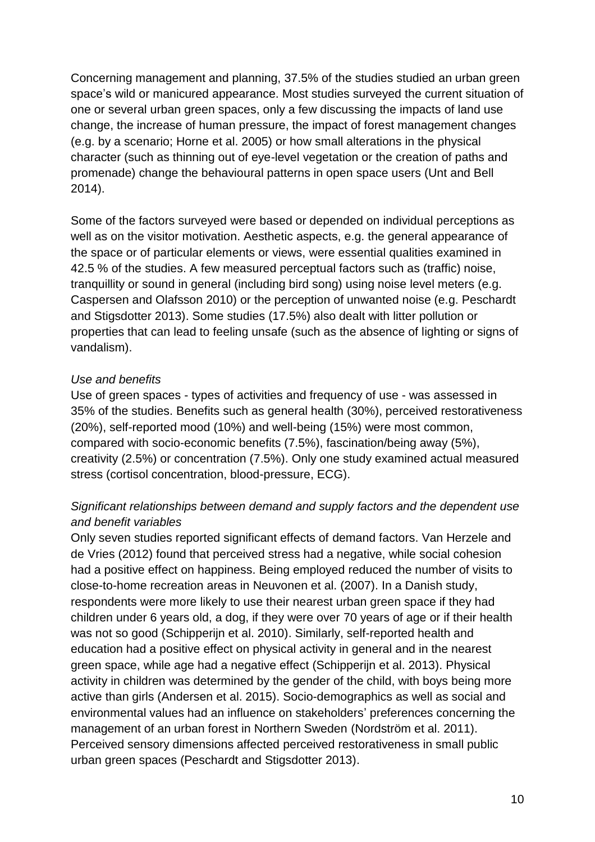Concerning management and planning, 37.5% of the studies studied an urban green space's wild or manicured appearance. Most studies surveyed the current situation of one or several urban green spaces, only a few discussing the impacts of land use change, the increase of human pressure, the impact of forest management changes (e.g. by a scenario; Horne et al. 2005) or how small alterations in the physical character (such as thinning out of eye-level vegetation or the creation of paths and promenade) change the behavioural patterns in open space users (Unt and Bell 2014).

Some of the factors surveyed were based or depended on individual perceptions as well as on the visitor motivation. Aesthetic aspects, e.g. the general appearance of the space or of particular elements or views, were essential qualities examined in 42.5 % of the studies. A few measured perceptual factors such as (traffic) noise, tranquillity or sound in general (including bird song) using noise level meters (e.g. Caspersen and Olafsson 2010) or the perception of unwanted noise (e.g. Peschardt and Stigsdotter 2013). Some studies (17.5%) also dealt with litter pollution or properties that can lead to feeling unsafe (such as the absence of lighting or signs of vandalism).

# *Use and benefits*

Use of green spaces - types of activities and frequency of use - was assessed in 35% of the studies. Benefits such as general health (30%), perceived restorativeness (20%), self-reported mood (10%) and well-being (15%) were most common, compared with socio-economic benefits (7.5%), fascination/being away (5%), creativity (2.5%) or concentration (7.5%). Only one study examined actual measured stress (cortisol concentration, blood-pressure, ECG).

# *Significant relationships between demand and supply factors and the dependent use and benefit variables*

Only seven studies reported significant effects of demand factors. Van Herzele and de Vries (2012) found that perceived stress had a negative, while social cohesion had a positive effect on happiness. Being employed reduced the number of visits to close-to-home recreation areas in Neuvonen et al. (2007). In a Danish study, respondents were more likely to use their nearest urban green space if they had children under 6 years old, a dog, if they were over 70 years of age or if their health was not so good (Schipperijn et al. 2010). Similarly, self-reported health and education had a positive effect on physical activity in general and in the nearest green space, while age had a negative effect (Schipperijn et al. 2013). Physical activity in children was determined by the gender of the child, with boys being more active than girls (Andersen et al. 2015). Socio-demographics as well as social and environmental values had an influence on stakeholders' preferences concerning the management of an urban forest in Northern Sweden (Nordström et al. 2011). Perceived sensory dimensions affected perceived restorativeness in small public urban green spaces (Peschardt and Stigsdotter 2013).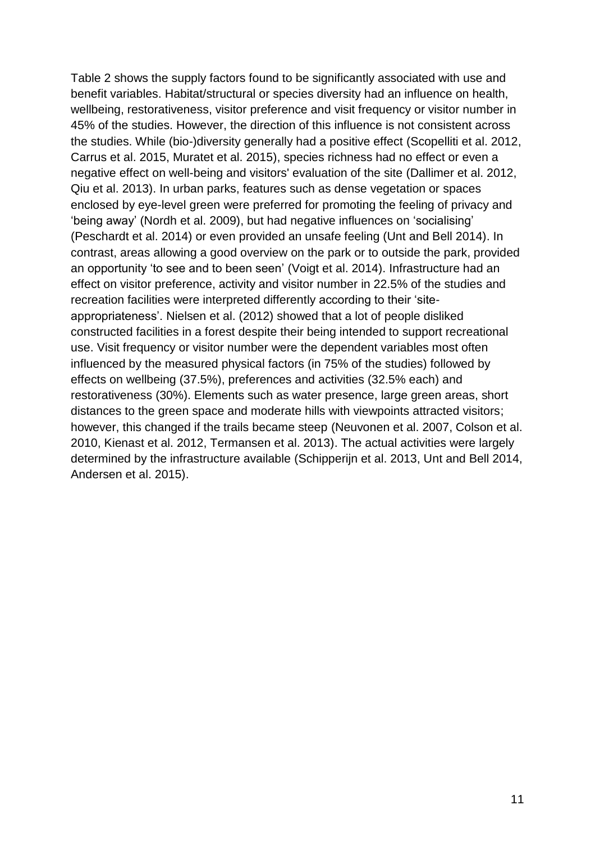Table 2 shows the supply factors found to be significantly associated with use and benefit variables. Habitat/structural or species diversity had an influence on health, wellbeing, restorativeness, visitor preference and visit frequency or visitor number in 45% of the studies. However, the direction of this influence is not consistent across the studies. While (bio-)diversity generally had a positive effect (Scopelliti et al. 2012, Carrus et al. 2015, Muratet et al. 2015), species richness had no effect or even a negative effect on well-being and visitors' evaluation of the site (Dallimer et al. 2012, Qiu et al. 2013). In urban parks, features such as dense vegetation or spaces enclosed by eye-level green were preferred for promoting the feeling of privacy and 'being away' (Nordh et al. 2009), but had negative influences on 'socialising' (Peschardt et al. 2014) or even provided an unsafe feeling (Unt and Bell 2014). In contrast, areas allowing a good overview on the park or to outside the park, provided an opportunity 'to see and to been seen' (Voigt et al. 2014). Infrastructure had an effect on visitor preference, activity and visitor number in 22.5% of the studies and recreation facilities were interpreted differently according to their 'siteappropriateness'. Nielsen et al. (2012) showed that a lot of people disliked constructed facilities in a forest despite their being intended to support recreational use. Visit frequency or visitor number were the dependent variables most often influenced by the measured physical factors (in 75% of the studies) followed by effects on wellbeing (37.5%), preferences and activities (32.5% each) and restorativeness (30%). Elements such as water presence, large green areas, short distances to the green space and moderate hills with viewpoints attracted visitors; however, this changed if the trails became steep (Neuvonen et al. 2007, Colson et al. 2010, Kienast et al. 2012, Termansen et al. 2013). The actual activities were largely determined by the infrastructure available (Schipperijn et al. 2013, Unt and Bell 2014, Andersen et al. 2015).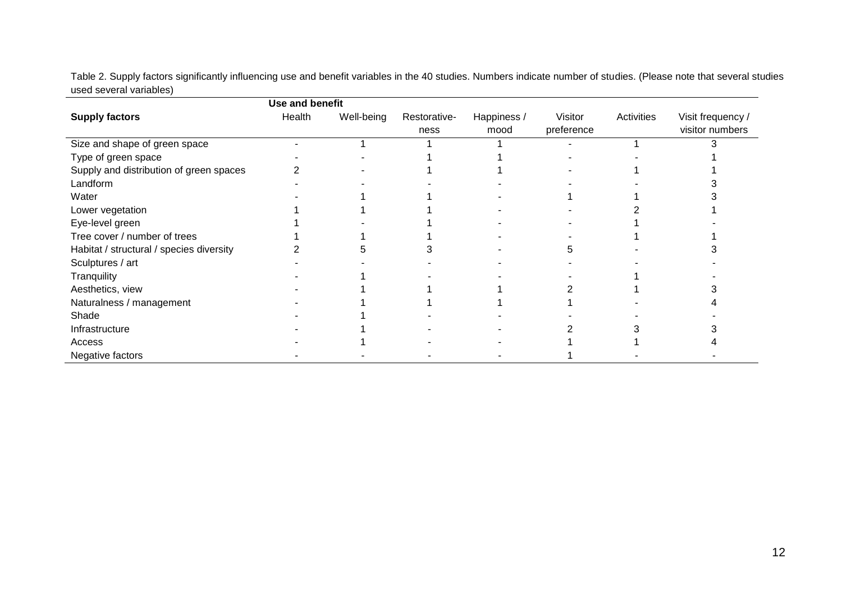Table 2. Supply factors significantly influencing use and benefit variables in the 40 studies. Numbers indicate number of studies. (Please note that several studies used several variables)

|                                          | Use and benefit |            |                      |                     |                       |            |                                      |
|------------------------------------------|-----------------|------------|----------------------|---------------------|-----------------------|------------|--------------------------------------|
| <b>Supply factors</b>                    | Health          | Well-being | Restorative-<br>ness | Happiness /<br>mood | Visitor<br>preference | Activities | Visit frequency /<br>visitor numbers |
| Size and shape of green space            |                 |            |                      |                     |                       |            |                                      |
| Type of green space                      |                 |            |                      |                     |                       |            |                                      |
| Supply and distribution of green spaces  |                 |            |                      |                     |                       |            |                                      |
| Landform                                 |                 |            |                      |                     |                       |            |                                      |
| Water                                    |                 |            |                      |                     |                       |            |                                      |
| Lower vegetation                         |                 |            |                      |                     |                       |            |                                      |
| Eye-level green                          |                 |            |                      |                     |                       |            |                                      |
| Tree cover / number of trees             |                 |            |                      |                     |                       |            |                                      |
| Habitat / structural / species diversity |                 |            |                      |                     |                       |            |                                      |
| Sculptures / art                         |                 |            |                      |                     |                       |            |                                      |
| Tranquility                              |                 |            |                      |                     |                       |            |                                      |
| Aesthetics, view                         |                 |            |                      |                     |                       |            |                                      |
| Naturalness / management                 |                 |            |                      |                     |                       |            |                                      |
| Shade                                    |                 |            |                      |                     |                       |            |                                      |
| Infrastructure                           |                 |            |                      |                     |                       |            |                                      |
| Access                                   |                 |            |                      |                     |                       |            |                                      |
| Negative factors                         |                 |            |                      |                     |                       |            |                                      |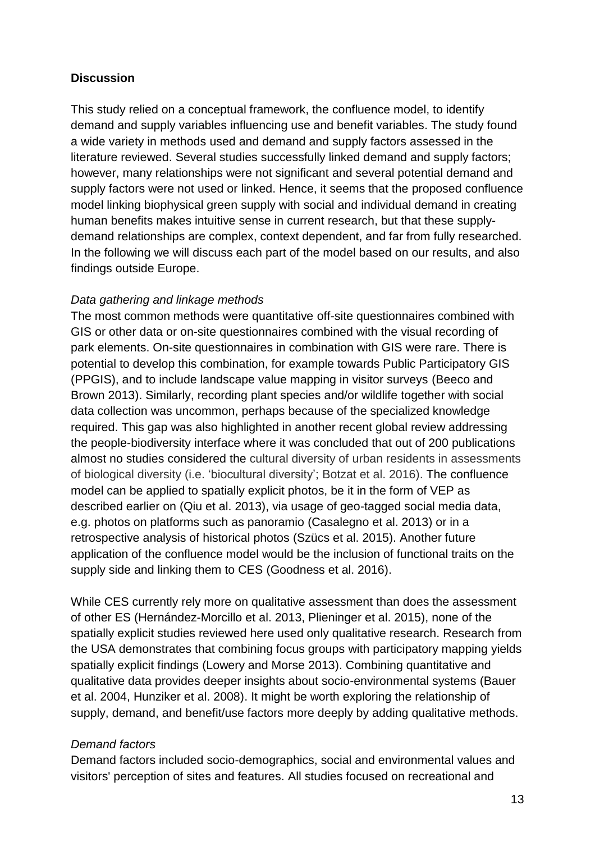### **Discussion**

This study relied on a conceptual framework, the confluence model, to identify demand and supply variables influencing use and benefit variables. The study found a wide variety in methods used and demand and supply factors assessed in the literature reviewed. Several studies successfully linked demand and supply factors; however, many relationships were not significant and several potential demand and supply factors were not used or linked. Hence, it seems that the proposed confluence model linking biophysical green supply with social and individual demand in creating human benefits makes intuitive sense in current research, but that these supplydemand relationships are complex, context dependent, and far from fully researched. In the following we will discuss each part of the model based on our results, and also findings outside Europe.

#### *Data gathering and linkage methods*

The most common methods were quantitative off-site questionnaires combined with GIS or other data or on-site questionnaires combined with the visual recording of park elements. On-site questionnaires in combination with GIS were rare. There is potential to develop this combination, for example towards Public Participatory GIS (PPGIS), and to include landscape value mapping in visitor surveys (Beeco and Brown 2013). Similarly, recording plant species and/or wildlife together with social data collection was uncommon, perhaps because of the specialized knowledge required. This gap was also highlighted in another recent global review addressing the people-biodiversity interface where it was concluded that out of 200 publications almost no studies considered the cultural diversity of urban residents in assessments of biological diversity (i.e. 'biocultural diversity'; Botzat et al. 2016). The confluence model can be applied to spatially explicit photos, be it in the form of VEP as described earlier on (Qiu et al. 2013), via usage of geo-tagged social media data, e.g. photos on platforms such as panoramio (Casalegno et al. 2013) or in a retrospective analysis of historical photos (Szücs et al. 2015). Another future application of the confluence model would be the inclusion of functional traits on the supply side and linking them to CES (Goodness et al. 2016).

While CES currently rely more on qualitative assessment than does the assessment of other ES (Hernández-Morcillo et al. 2013, Plieninger et al. 2015), none of the spatially explicit studies reviewed here used only qualitative research. Research from the USA demonstrates that combining focus groups with participatory mapping yields spatially explicit findings (Lowery and Morse 2013). Combining quantitative and qualitative data provides deeper insights about socio-environmental systems (Bauer et al. 2004, Hunziker et al. 2008). It might be worth exploring the relationship of supply, demand, and benefit/use factors more deeply by adding qualitative methods.

#### *Demand factors*

Demand factors included socio-demographics, social and environmental values and visitors' perception of sites and features. All studies focused on recreational and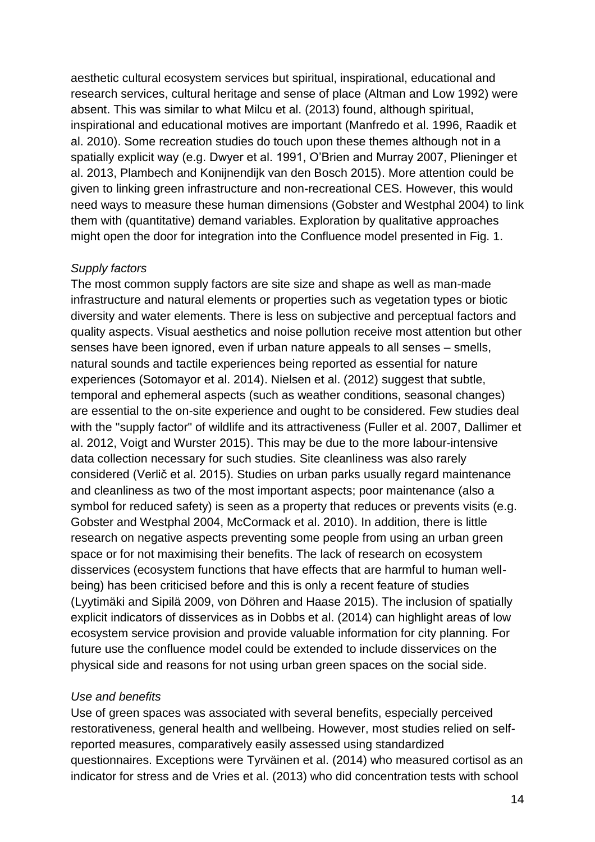aesthetic cultural ecosystem services but spiritual, inspirational, educational and research services, cultural heritage and sense of place (Altman and Low 1992) were absent. This was similar to what Milcu et al. (2013) found, although spiritual, inspirational and educational motives are important (Manfredo et al. 1996, Raadik et al. 2010). Some recreation studies do touch upon these themes although not in a spatially explicit way (e.g. Dwyer et al. 1991, O'Brien and Murray 2007, Plieninger et al. 2013, Plambech and Konijnendijk van den Bosch 2015). More attention could be given to linking green infrastructure and non-recreational CES. However, this would need ways to measure these human dimensions (Gobster and Westphal 2004) to link them with (quantitative) demand variables. Exploration by qualitative approaches might open the door for integration into the Confluence model presented in Fig. 1.

### *Supply factors*

The most common supply factors are site size and shape as well as man-made infrastructure and natural elements or properties such as vegetation types or biotic diversity and water elements. There is less on subjective and perceptual factors and quality aspects. Visual aesthetics and noise pollution receive most attention but other senses have been ignored, even if urban nature appeals to all senses – smells, natural sounds and tactile experiences being reported as essential for nature experiences (Sotomayor et al. 2014). Nielsen et al. (2012) suggest that subtle, temporal and ephemeral aspects (such as weather conditions, seasonal changes) are essential to the on-site experience and ought to be considered. Few studies deal with the "supply factor" of wildlife and its attractiveness (Fuller et al. 2007, Dallimer et al. 2012, Voigt and Wurster 2015). This may be due to the more labour-intensive data collection necessary for such studies. Site cleanliness was also rarely considered (Verlič et al. 2015). Studies on urban parks usually regard maintenance and cleanliness as two of the most important aspects; poor maintenance (also a symbol for reduced safety) is seen as a property that reduces or prevents visits (e.g. Gobster and Westphal 2004, McCormack et al. 2010). In addition, there is little research on negative aspects preventing some people from using an urban green space or for not maximising their benefits. The lack of research on ecosystem disservices (ecosystem functions that have effects that are harmful to human wellbeing) has been criticised before and this is only a recent feature of studies (Lyytimäki and Sipilä 2009, von Döhren and Haase 2015). The inclusion of spatially explicit indicators of disservices as in Dobbs et al. (2014) can highlight areas of low ecosystem service provision and provide valuable information for city planning. For future use the confluence model could be extended to include disservices on the physical side and reasons for not using urban green spaces on the social side.

### *Use and benefits*

Use of green spaces was associated with several benefits, especially perceived restorativeness, general health and wellbeing. However, most studies relied on selfreported measures, comparatively easily assessed using standardized questionnaires. Exceptions were Tyrväinen et al. (2014) who measured cortisol as an indicator for stress and de Vries et al. (2013) who did concentration tests with school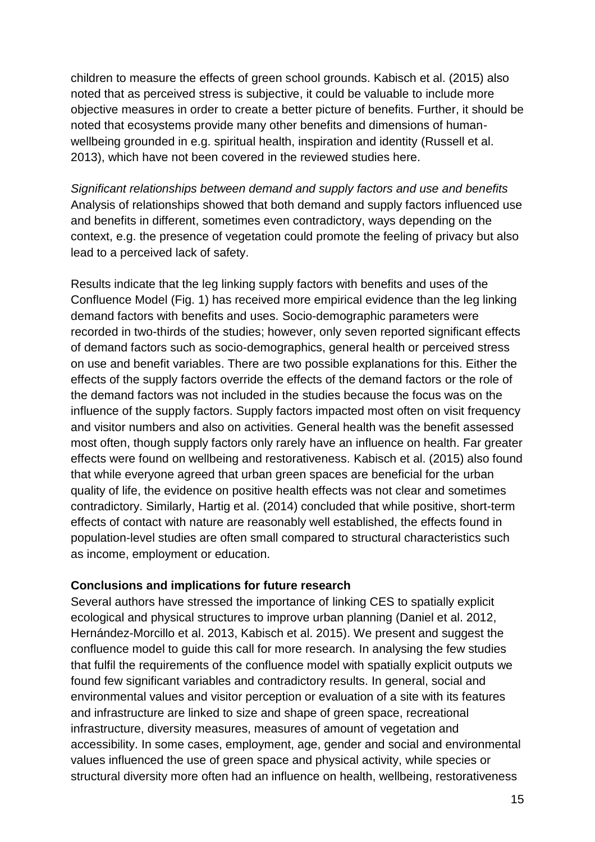children to measure the effects of green school grounds. Kabisch et al. (2015) also noted that as perceived stress is subjective, it could be valuable to include more objective measures in order to create a better picture of benefits. Further, it should be noted that ecosystems provide many other benefits and dimensions of humanwellbeing grounded in e.g. spiritual health, inspiration and identity (Russell et al. 2013), which have not been covered in the reviewed studies here.

*Significant relationships between demand and supply factors and use and benefits* Analysis of relationships showed that both demand and supply factors influenced use and benefits in different, sometimes even contradictory, ways depending on the context, e.g. the presence of vegetation could promote the feeling of privacy but also lead to a perceived lack of safety.

Results indicate that the leg linking supply factors with benefits and uses of the Confluence Model (Fig. 1) has received more empirical evidence than the leg linking demand factors with benefits and uses. Socio-demographic parameters were recorded in two-thirds of the studies; however, only seven reported significant effects of demand factors such as socio-demographics, general health or perceived stress on use and benefit variables. There are two possible explanations for this. Either the effects of the supply factors override the effects of the demand factors or the role of the demand factors was not included in the studies because the focus was on the influence of the supply factors. Supply factors impacted most often on visit frequency and visitor numbers and also on activities. General health was the benefit assessed most often, though supply factors only rarely have an influence on health. Far greater effects were found on wellbeing and restorativeness. Kabisch et al. (2015) also found that while everyone agreed that urban green spaces are beneficial for the urban quality of life, the evidence on positive health effects was not clear and sometimes contradictory. Similarly, Hartig et al. (2014) concluded that while positive, short-term effects of contact with nature are reasonably well established, the effects found in population-level studies are often small compared to structural characteristics such as income, employment or education.

### **Conclusions and implications for future research**

Several authors have stressed the importance of linking CES to spatially explicit ecological and physical structures to improve urban planning (Daniel et al. 2012, Hernández-Morcillo et al. 2013, Kabisch et al. 2015). We present and suggest the confluence model to guide this call for more research. In analysing the few studies that fulfil the requirements of the confluence model with spatially explicit outputs we found few significant variables and contradictory results. In general, social and environmental values and visitor perception or evaluation of a site with its features and infrastructure are linked to size and shape of green space, recreational infrastructure, diversity measures, measures of amount of vegetation and accessibility. In some cases, employment, age, gender and social and environmental values influenced the use of green space and physical activity, while species or structural diversity more often had an influence on health, wellbeing, restorativeness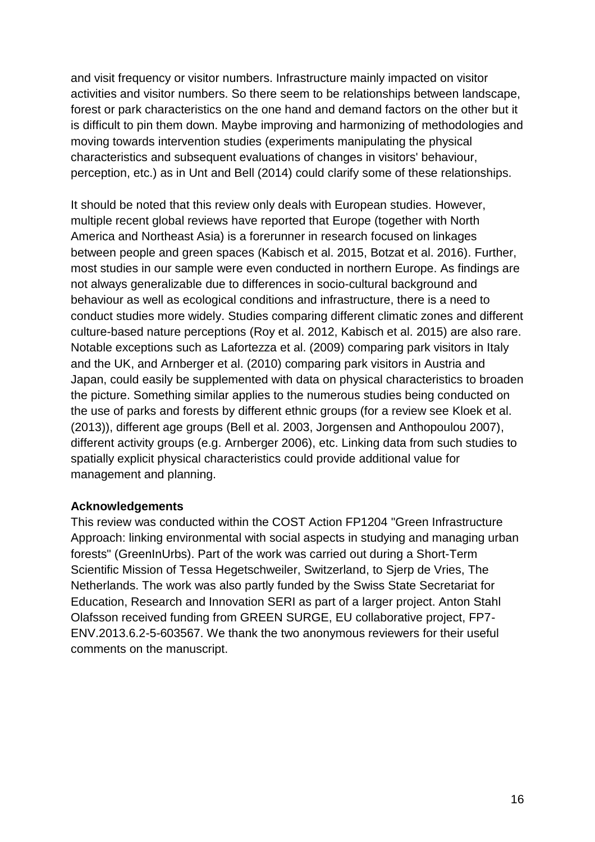and visit frequency or visitor numbers. Infrastructure mainly impacted on visitor activities and visitor numbers. So there seem to be relationships between landscape, forest or park characteristics on the one hand and demand factors on the other but it is difficult to pin them down. Maybe improving and harmonizing of methodologies and moving towards intervention studies (experiments manipulating the physical characteristics and subsequent evaluations of changes in visitors' behaviour, perception, etc.) as in Unt and Bell (2014) could clarify some of these relationships.

It should be noted that this review only deals with European studies. However, multiple recent global reviews have reported that Europe (together with North America and Northeast Asia) is a forerunner in research focused on linkages between people and green spaces (Kabisch et al. 2015, Botzat et al. 2016). Further, most studies in our sample were even conducted in northern Europe. As findings are not always generalizable due to differences in socio-cultural background and behaviour as well as ecological conditions and infrastructure, there is a need to conduct studies more widely. Studies comparing different climatic zones and different culture-based nature perceptions (Roy et al. 2012, Kabisch et al. 2015) are also rare. Notable exceptions such as Lafortezza et al. (2009) comparing park visitors in Italy and the UK, and Arnberger et al. (2010) comparing park visitors in Austria and Japan, could easily be supplemented with data on physical characteristics to broaden the picture. Something similar applies to the numerous studies being conducted on the use of parks and forests by different ethnic groups (for a review see Kloek et al. (2013)), different age groups (Bell et al. 2003, Jorgensen and Anthopoulou 2007), different activity groups (e.g. Arnberger 2006), etc. Linking data from such studies to spatially explicit physical characteristics could provide additional value for management and planning.

### **Acknowledgements**

This review was conducted within the COST Action FP1204 "Green Infrastructure Approach: linking environmental with social aspects in studying and managing urban forests" (GreenInUrbs). Part of the work was carried out during a Short-Term Scientific Mission of Tessa Hegetschweiler, Switzerland, to Sjerp de Vries, The Netherlands. The work was also partly funded by the Swiss State Secretariat for Education, Research and Innovation SERI as part of a larger project. Anton Stahl Olafsson received funding from GREEN SURGE, EU collaborative project, FP7- ENV.2013.6.2-5-603567. We thank the two anonymous reviewers for their useful comments on the manuscript.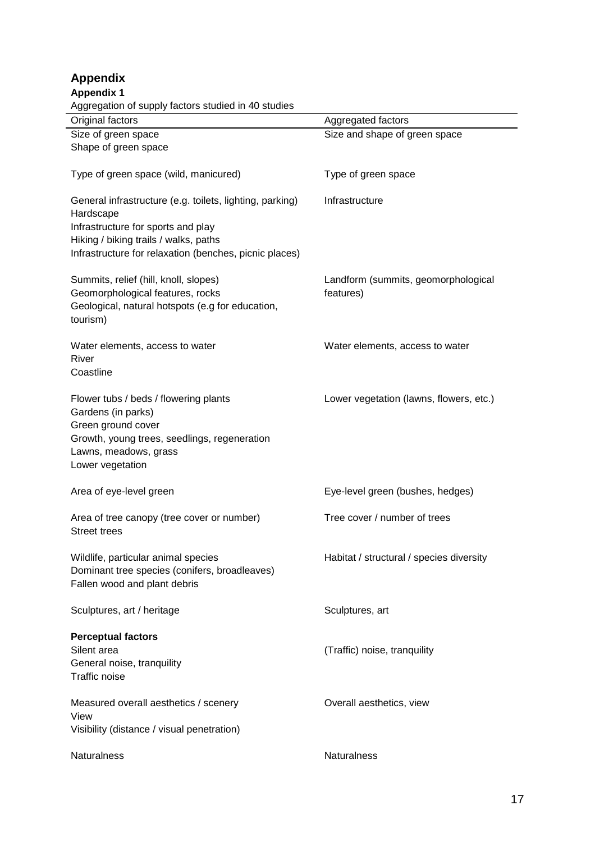| <b>Appendix 1</b>                                                                                                                                                                                              |                                                  |
|----------------------------------------------------------------------------------------------------------------------------------------------------------------------------------------------------------------|--------------------------------------------------|
| Aggregation of supply factors studied in 40 studies                                                                                                                                                            |                                                  |
| Original factors                                                                                                                                                                                               | Aggregated factors                               |
| Size of green space<br>Shape of green space                                                                                                                                                                    | Size and shape of green space                    |
| Type of green space (wild, manicured)                                                                                                                                                                          | Type of green space                              |
| General infrastructure (e.g. toilets, lighting, parking)<br>Hardscape<br>Infrastructure for sports and play<br>Hiking / biking trails / walks, paths<br>Infrastructure for relaxation (benches, picnic places) | Infrastructure                                   |
| Summits, relief (hill, knoll, slopes)<br>Geomorphological features, rocks<br>Geological, natural hotspots (e.g for education,<br>tourism)                                                                      | Landform (summits, geomorphological<br>features) |
| Water elements, access to water<br>River<br>Coastline                                                                                                                                                          | Water elements, access to water                  |
| Flower tubs / beds / flowering plants<br>Gardens (in parks)<br>Green ground cover<br>Growth, young trees, seedlings, regeneration<br>Lawns, meadows, grass<br>Lower vegetation                                 | Lower vegetation (lawns, flowers, etc.)          |
| Area of eye-level green                                                                                                                                                                                        | Eye-level green (bushes, hedges)                 |
| Area of tree canopy (tree cover or number)<br><b>Street trees</b>                                                                                                                                              | Tree cover / number of trees                     |
| Wildlife, particular animal species<br>Dominant tree species (conifers, broadleaves)<br>Fallen wood and plant debris                                                                                           | Habitat / structural / species diversity         |
| Sculptures, art / heritage                                                                                                                                                                                     | Sculptures, art                                  |
| <b>Perceptual factors</b><br>Silent area<br>General noise, tranquility<br><b>Traffic noise</b>                                                                                                                 | (Traffic) noise, tranquility                     |
| Measured overall aesthetics / scenery<br>View<br>Visibility (distance / visual penetration)                                                                                                                    | Overall aesthetics, view                         |
| Naturalness                                                                                                                                                                                                    | Naturalness                                      |

**Appendix**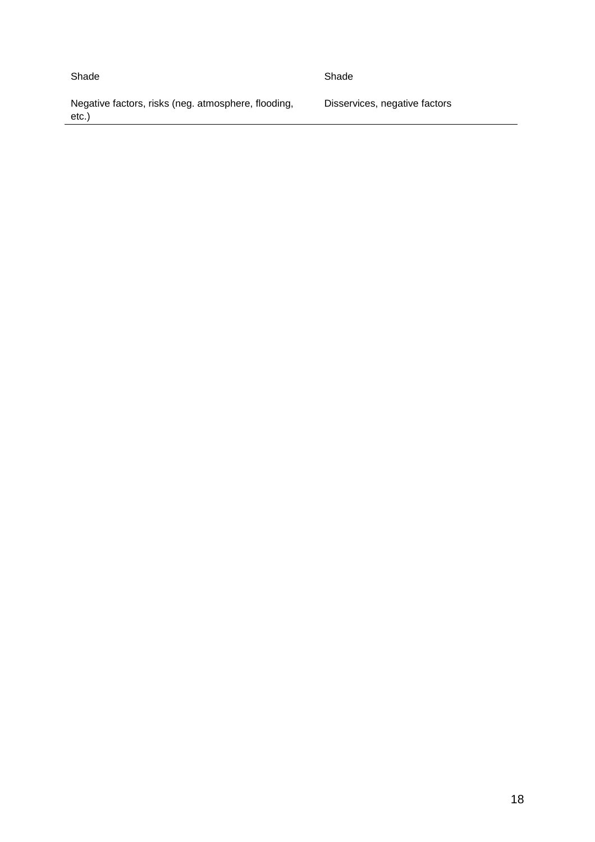#### Shade Shade Shade Shade Shade Shade Shade Shade Shade Shade Shade Shade Shade Shade Shade Shade Shade Shade Shade Shade Shade Shade Shade Shade Shade Shade Shade Shade Shade Shade Shade Shade Shade Shade Shade Shade Shade

Negative factors, risks (neg. atmosphere, flooding, etc.)

Disservices, negative factors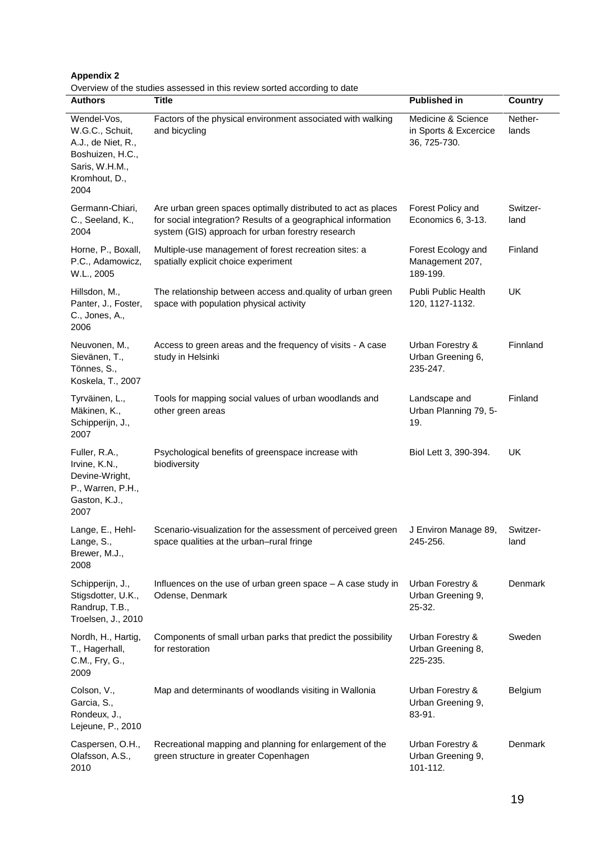| <b>Appendix 2</b> |  |  |  |  |  |  |
|-------------------|--|--|--|--|--|--|
|-------------------|--|--|--|--|--|--|

**Authors Title Published in Country** Wendel-Vos, W.G.C., Schuit, A.J., de Niet, R., Boshuizen, H.C., Saris, W.H.M., Kromhout, D., 2004 Factors of the physical environment associated with walking and bicycling Medicine & Science in Sports & Excercice 36, 725-730. Netherlands Germann-Chiari, C., Seeland, K., 2004 Are urban green spaces optimally distributed to act as places for social integration? Results of a geographical information system (GIS) approach for urban forestry research Forest Policy and Economics 6, 3-13. Switzerland Horne, P., Boxall, P.C., Adamowicz, W.L., 2005 Multiple-use management of forest recreation sites: a spatially explicit choice experiment Forest Ecology and Management 207, 189-199. Finland Hillsdon, M., Panter, J., Foster, C., Jones, A., 2006 The relationship between access and.quality of urban green space with population physical activity Publi Public Health 120, 1127-1132. UK Neuvonen, M., Sievänen, T., Tönnes, S., Koskela, T., 2007 Access to green areas and the frequency of visits - A case study in Helsinki Urban Forestry & Urban Greening 6, 235-247. Finnland Tyrväinen, L., Mäkinen, K., Schipperijn, J., 2007 Tools for mapping social values of urban woodlands and other green areas Landscape and Urban Planning 79, 5- 19. Finland Fuller, R.A., Irvine, K.N., Devine-Wright, P., Warren, P.H., Gaston, K.J., 2007 Psychological benefits of greenspace increase with biodiversity Biol Lett 3, 390-394. UK Lange, E., Hehl-Lange, S., Brewer, M.J., 2008 Scenario-visualization for the assessment of perceived green space qualities at the urban–rural fringe J Environ Manage 89, 245-256. Switzerland Schipperijn, J., Stigsdotter, U.K., Randrup, T.B., Troelsen, J., 2010 Influences on the use of urban green space – A case study in Odense, Denmark Urban Forestry & Urban Greening 9, 25-32. Denmark Nordh, H., Hartig, T., Hagerhall, C.M., Fry, G., 2009 Components of small urban parks that predict the possibility for restoration Urban Forestry & Urban Greening 8, 225-235. Sweden Colson, V., Garcia, S., Rondeux, J., Lejeune, P., 2010 Map and determinants of woodlands visiting in Wallonia Furban Forestry & Urban Greening 9, 83-91. **Belgium** Caspersen, O.H., Olafsson, A.S., 2010 Recreational mapping and planning for enlargement of the green structure in greater Copenhagen Urban Forestry & Urban Greening 9, 101-112. Denmark

Overview of the studies assessed in this review sorted according to date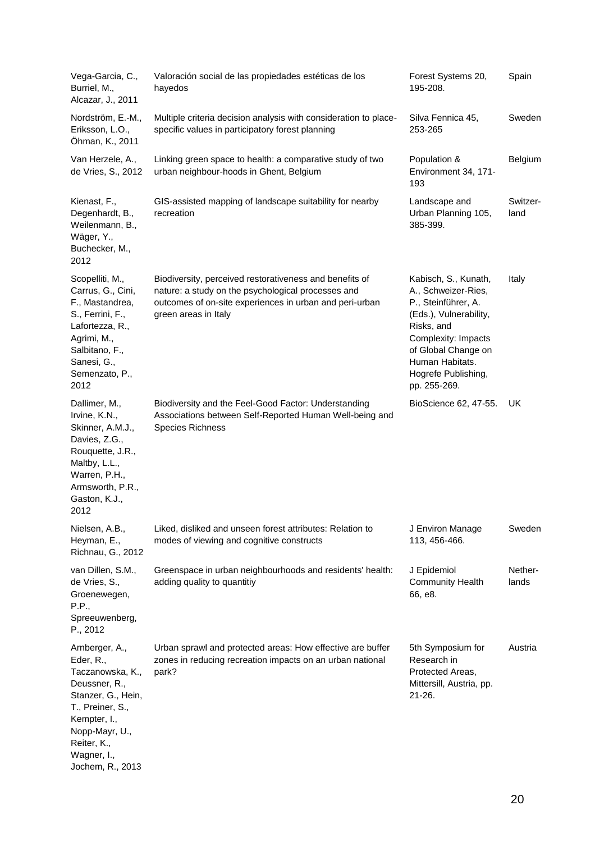| Vega-Garcia, C.,<br>Burriel, M.,<br>Alcazar, J., 2011                                                                                                                                          | Valoración social de las propiedades estéticas de los<br>hayedos                                                                                                                                 | Forest Systems 20,<br>195-208.                                                                                                                                                                                     | Spain            |
|------------------------------------------------------------------------------------------------------------------------------------------------------------------------------------------------|--------------------------------------------------------------------------------------------------------------------------------------------------------------------------------------------------|--------------------------------------------------------------------------------------------------------------------------------------------------------------------------------------------------------------------|------------------|
| Nordström, E.-M.,<br>Eriksson, L.O.,<br>Öhman, K., 2011                                                                                                                                        | Multiple criteria decision analysis with consideration to place-<br>specific values in participatory forest planning                                                                             | Silva Fennica 45,<br>253-265                                                                                                                                                                                       | Sweden           |
| Van Herzele, A.,<br>de Vries, S., 2012                                                                                                                                                         | Linking green space to health: a comparative study of two<br>urban neighbour-hoods in Ghent, Belgium                                                                                             | Population &<br>Environment 34, 171-<br>193                                                                                                                                                                        | Belgium          |
| Kienast, F.,<br>Degenhardt, B.,<br>Weilenmann, B.,<br>Wäger, Y.,<br>Buchecker, M.,<br>2012                                                                                                     | GIS-assisted mapping of landscape suitability for nearby<br>recreation                                                                                                                           | Landscape and<br>Urban Planning 105,<br>385-399.                                                                                                                                                                   | Switzer-<br>land |
| Scopelliti, M.,<br>Carrus, G., Cini,<br>F., Mastandrea,<br>S., Ferrini, F.,<br>Lafortezza, R.,<br>Agrimi, M.,<br>Salbitano, F.,<br>Sanesi, G.,<br>Semenzato, P.,<br>2012                       | Biodiversity, perceived restorativeness and benefits of<br>nature: a study on the psychological processes and<br>outcomes of on-site experiences in urban and peri-urban<br>green areas in Italy | Kabisch, S., Kunath,<br>A., Schweizer-Ries,<br>P., Steinführer, A.<br>(Eds.), Vulnerability,<br>Risks, and<br>Complexity: Impacts<br>of Global Change on<br>Human Habitats.<br>Hogrefe Publishing,<br>pp. 255-269. | Italy            |
| Dallimer, M.,<br>Irvine, K.N.,<br>Skinner, A.M.J.,<br>Davies, Z.G.,<br>Rouquette, J.R.,<br>Maltby, L.L.,<br>Warren, P.H.,<br>Armsworth, P.R.,<br>Gaston, K.J.,<br>2012                         | Biodiversity and the Feel-Good Factor: Understanding<br>Associations between Self-Reported Human Well-being and<br><b>Species Richness</b>                                                       | BioScience 62, 47-55.                                                                                                                                                                                              | UK               |
| Nielsen, A.B.,<br>Heyman, E.,<br>Richnau, G., 2012                                                                                                                                             | Liked, disliked and unseen forest attributes: Relation to<br>modes of viewing and cognitive constructs                                                                                           | J Environ Manage<br>113, 456-466.                                                                                                                                                                                  | Sweden           |
| van Dillen, S.M.,<br>de Vries, S.,<br>Groenewegen,<br>P.P.,<br>Spreeuwenberg,<br>P., 2012                                                                                                      | Greenspace in urban neighbourhoods and residents' health:<br>adding quality to quantitiy                                                                                                         | J Epidemiol<br><b>Community Health</b><br>66, e8.                                                                                                                                                                  | Nether-<br>lands |
| Arnberger, A.,<br>Eder, R.,<br>Taczanowska, K.,<br>Deussner, R.,<br>Stanzer, G., Hein,<br>T., Preiner, S.,<br>Kempter, I.,<br>Nopp-Mayr, U.,<br>Reiter, K.,<br>Wagner, I.,<br>Jochem, R., 2013 | Urban sprawl and protected areas: How effective are buffer<br>zones in reducing recreation impacts on an urban national<br>park?                                                                 | 5th Symposium for<br>Research in<br>Protected Areas,<br>Mittersill, Austria, pp.<br>$21 - 26.$                                                                                                                     | Austria          |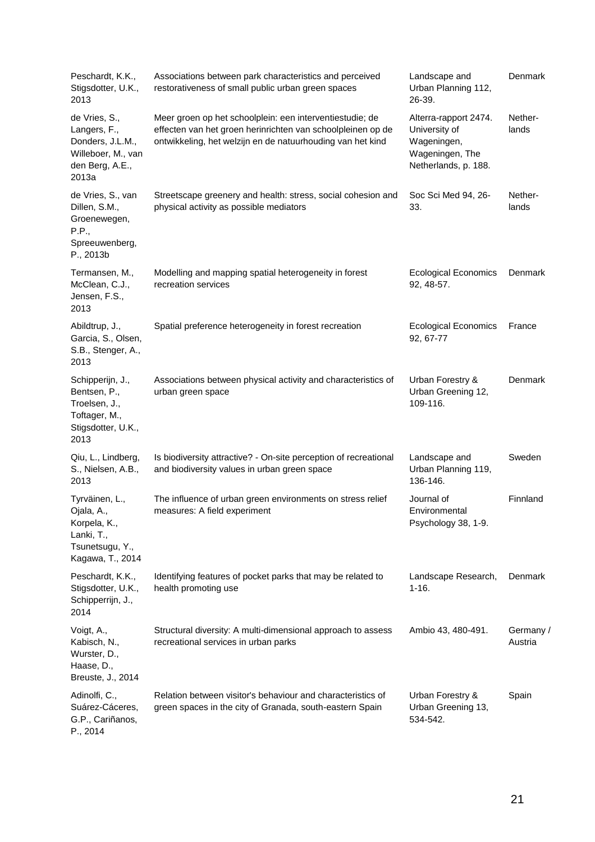| Peschardt, K.K.,<br>Stigsdotter, U.K.,<br>2013                                                      | Associations between park characteristics and perceived<br>restorativeness of small public urban green spaces                                                                         | Landscape and<br>Urban Planning 112,<br>26-39.                                                   | Denmark              |
|-----------------------------------------------------------------------------------------------------|---------------------------------------------------------------------------------------------------------------------------------------------------------------------------------------|--------------------------------------------------------------------------------------------------|----------------------|
| de Vries, S.,<br>Langers, F.,<br>Donders, J.L.M.,<br>Willeboer, M., van<br>den Berg, A.E.,<br>2013a | Meer groen op het schoolplein: een interventiestudie; de<br>effecten van het groen herinrichten van schoolpleinen op de<br>ontwikkeling, het welzijn en de natuurhouding van het kind | Alterra-rapport 2474.<br>University of<br>Wageningen,<br>Wageningen, The<br>Netherlands, p. 188. | Nether-<br>lands     |
| de Vries, S., van<br>Dillen, S.M.,<br>Groenewegen,<br>P.P.,<br>Spreeuwenberg,<br>P., 2013b          | Streetscape greenery and health: stress, social cohesion and<br>physical activity as possible mediators                                                                               | Soc Sci Med 94, 26-<br>33.                                                                       | Nether-<br>lands     |
| Termansen, M.,<br>McClean, C.J.,<br>Jensen, F.S.,<br>2013                                           | Modelling and mapping spatial heterogeneity in forest<br>recreation services                                                                                                          | <b>Ecological Economics</b><br>92, 48-57.                                                        | Denmark              |
| Abildtrup, J.,<br>Garcia, S., Olsen,<br>S.B., Stenger, A.,<br>2013                                  | Spatial preference heterogeneity in forest recreation                                                                                                                                 | <b>Ecological Economics</b><br>92, 67-77                                                         | France               |
| Schipperijn, J.,<br>Bentsen, P.,<br>Troelsen, J.,<br>Toftager, M.,<br>Stigsdotter, U.K.,<br>2013    | Associations between physical activity and characteristics of<br>urban green space                                                                                                    | Urban Forestry &<br>Urban Greening 12,<br>109-116.                                               | Denmark              |
| Qiu, L., Lindberg,<br>S., Nielsen, A.B.,<br>2013                                                    | Is biodiversity attractive? - On-site perception of recreational<br>and biodiversity values in urban green space                                                                      | Landscape and<br>Urban Planning 119,<br>136-146.                                                 | Sweden               |
| Tyrväinen, L.,<br>Ojala, A.,<br>Korpela, K.,<br>Lanki, T.,<br>Tsunetsugu, Y.,<br>Kagawa, T., 2014   | The influence of urban green environments on stress relief<br>measures: A field experiment                                                                                            | Journal of<br>Environmental<br>Psychology 38, 1-9.                                               | Finnland             |
| Peschardt, K.K.,<br>Stigsdotter, U.K.,<br>Schipperrijn, J.,<br>2014                                 | Identifying features of pocket parks that may be related to<br>health promoting use                                                                                                   | Landscape Research,<br>$1 - 16.$                                                                 | Denmark              |
| Voigt, A.,<br>Kabisch, N.,<br>Wurster, D.,<br>Haase, D.,<br>Breuste, J., 2014                       | Structural diversity: A multi-dimensional approach to assess<br>recreational services in urban parks                                                                                  | Ambio 43, 480-491.                                                                               | Germany /<br>Austria |
| Adinolfi, C.,<br>Suárez-Cáceres,<br>G.P., Cariñanos,<br>P., 2014                                    | Relation between visitor's behaviour and characteristics of<br>green spaces in the city of Granada, south-eastern Spain                                                               | Urban Forestry &<br>Urban Greening 13,<br>534-542.                                               | Spain                |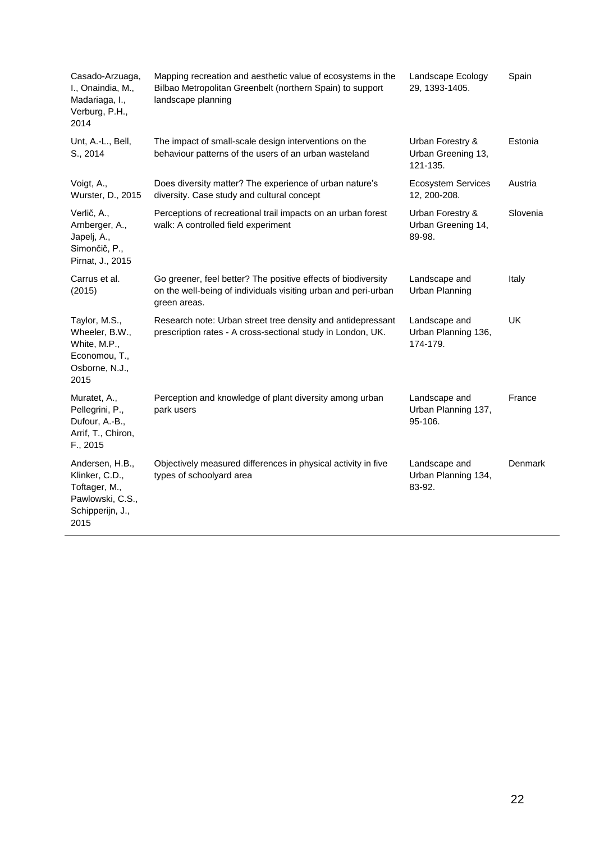| Casado-Arzuaga,<br>I., Onaindia, M.,<br>Madariaga, I.,<br>Verburg, P.H.,<br>2014                   | Mapping recreation and aesthetic value of ecosystems in the<br>Bilbao Metropolitan Greenbelt (northern Spain) to support<br>landscape planning  | Landscape Ecology<br>29, 1393-1405.                | Spain    |
|----------------------------------------------------------------------------------------------------|-------------------------------------------------------------------------------------------------------------------------------------------------|----------------------------------------------------|----------|
| Unt, A.-L., Bell,<br>S., 2014                                                                      | The impact of small-scale design interventions on the<br>behaviour patterns of the users of an urban wasteland                                  | Urban Forestry &<br>Urban Greening 13,<br>121-135. | Estonia  |
| Voigt, A.,<br>Wurster, D., 2015                                                                    | Does diversity matter? The experience of urban nature's<br>diversity. Case study and cultural concept                                           | <b>Ecosystem Services</b><br>12, 200-208.          | Austria  |
| Verlič, A.,<br>Arnberger, A.,<br>Japelj, A.,<br>Simončič, P.,<br>Pirnat, J., 2015                  | Perceptions of recreational trail impacts on an urban forest<br>walk: A controlled field experiment                                             | Urban Forestry &<br>Urban Greening 14,<br>89-98.   | Slovenia |
| Carrus et al.<br>(2015)                                                                            | Go greener, feel better? The positive effects of biodiversity<br>on the well-being of individuals visiting urban and peri-urban<br>green areas. | Landscape and<br>Urban Planning                    | Italy    |
| Taylor, M.S.,<br>Wheeler, B.W.,<br>White, M.P.,<br>Economou, T.,<br>Osborne, N.J.,<br>2015         | Research note: Urban street tree density and antidepressant<br>prescription rates - A cross-sectional study in London, UK.                      | Landscape and<br>Urban Planning 136,<br>174-179.   | UK       |
| Muratet, A.,<br>Pellegrini, P.,<br>Dufour, A.-B.,<br>Arrif, T., Chiron,<br>F., 2015                | Perception and knowledge of plant diversity among urban<br>park users                                                                           | Landscape and<br>Urban Planning 137,<br>95-106.    | France   |
| Andersen, H.B.,<br>Klinker, C.D.,<br>Toftager, M.,<br>Pawlowski, C.S.,<br>Schipperijn, J.,<br>2015 | Objectively measured differences in physical activity in five<br>types of schoolyard area                                                       | Landscape and<br>Urban Planning 134,<br>83-92.     | Denmark  |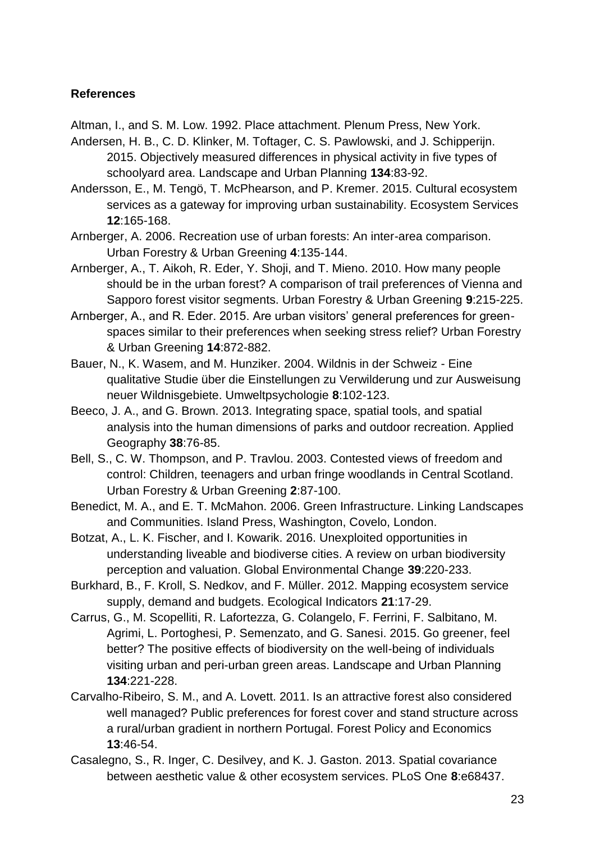# **References**

Altman, I., and S. M. Low. 1992. Place attachment. Plenum Press, New York.

- Andersen, H. B., C. D. Klinker, M. Toftager, C. S. Pawlowski, and J. Schipperijn. 2015. Objectively measured differences in physical activity in five types of schoolyard area. Landscape and Urban Planning **134**:83-92.
- Andersson, E., M. Tengö, T. McPhearson, and P. Kremer. 2015. Cultural ecosystem services as a gateway for improving urban sustainability. Ecosystem Services **12**:165-168.
- Arnberger, A. 2006. Recreation use of urban forests: An inter-area comparison. Urban Forestry & Urban Greening **4**:135-144.
- Arnberger, A., T. Aikoh, R. Eder, Y. Shoji, and T. Mieno. 2010. How many people should be in the urban forest? A comparison of trail preferences of Vienna and Sapporo forest visitor segments. Urban Forestry & Urban Greening **9**:215-225.
- Arnberger, A., and R. Eder. 2015. Are urban visitors' general preferences for greenspaces similar to their preferences when seeking stress relief? Urban Forestry & Urban Greening **14**:872-882.
- Bauer, N., K. Wasem, and M. Hunziker. 2004. Wildnis in der Schweiz Eine qualitative Studie über die Einstellungen zu Verwilderung und zur Ausweisung neuer Wildnisgebiete. Umweltpsychologie **8**:102-123.
- Beeco, J. A., and G. Brown. 2013. Integrating space, spatial tools, and spatial analysis into the human dimensions of parks and outdoor recreation. Applied Geography **38**:76-85.
- Bell, S., C. W. Thompson, and P. Travlou. 2003. Contested views of freedom and control: Children, teenagers and urban fringe woodlands in Central Scotland. Urban Forestry & Urban Greening **2**:87-100.
- Benedict, M. A., and E. T. McMahon. 2006. Green Infrastructure. Linking Landscapes and Communities. Island Press, Washington, Covelo, London.
- Botzat, A., L. K. Fischer, and I. Kowarik. 2016. Unexploited opportunities in understanding liveable and biodiverse cities. A review on urban biodiversity perception and valuation. Global Environmental Change **39**:220-233.
- Burkhard, B., F. Kroll, S. Nedkov, and F. Müller. 2012. Mapping ecosystem service supply, demand and budgets. Ecological Indicators **21**:17-29.
- Carrus, G., M. Scopelliti, R. Lafortezza, G. Colangelo, F. Ferrini, F. Salbitano, M. Agrimi, L. Portoghesi, P. Semenzato, and G. Sanesi. 2015. Go greener, feel better? The positive effects of biodiversity on the well-being of individuals visiting urban and peri-urban green areas. Landscape and Urban Planning **134**:221-228.
- Carvalho-Ribeiro, S. M., and A. Lovett. 2011. Is an attractive forest also considered well managed? Public preferences for forest cover and stand structure across a rural/urban gradient in northern Portugal. Forest Policy and Economics **13**:46-54.
- Casalegno, S., R. Inger, C. Desilvey, and K. J. Gaston. 2013. Spatial covariance between aesthetic value & other ecosystem services. PLoS One **8**:e68437.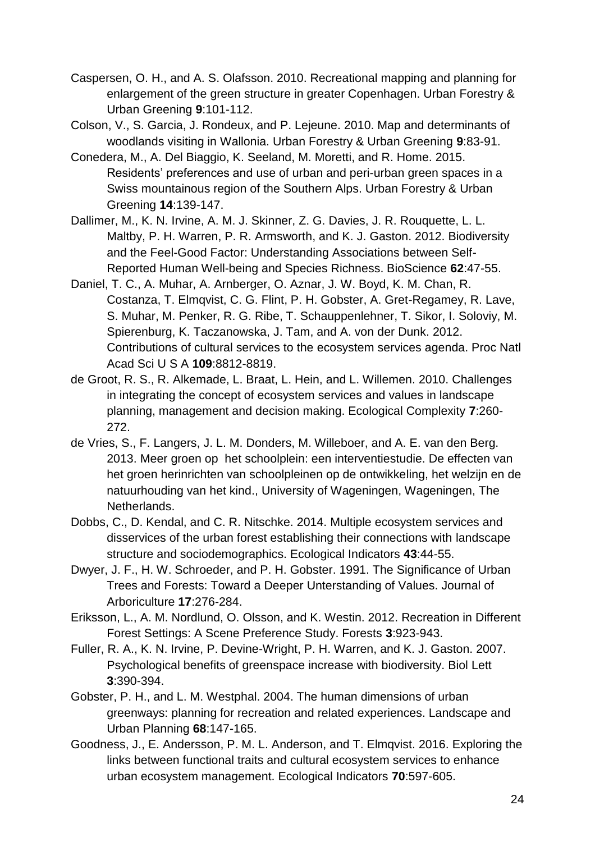- Caspersen, O. H., and A. S. Olafsson. 2010. Recreational mapping and planning for enlargement of the green structure in greater Copenhagen. Urban Forestry & Urban Greening **9**:101-112.
- Colson, V., S. Garcia, J. Rondeux, and P. Lejeune. 2010. Map and determinants of woodlands visiting in Wallonia. Urban Forestry & Urban Greening **9**:83-91.
- Conedera, M., A. Del Biaggio, K. Seeland, M. Moretti, and R. Home. 2015. Residents' preferences and use of urban and peri-urban green spaces in a Swiss mountainous region of the Southern Alps. Urban Forestry & Urban Greening **14**:139-147.
- Dallimer, M., K. N. Irvine, A. M. J. Skinner, Z. G. Davies, J. R. Rouquette, L. L. Maltby, P. H. Warren, P. R. Armsworth, and K. J. Gaston. 2012. Biodiversity and the Feel-Good Factor: Understanding Associations between Self-Reported Human Well-being and Species Richness. BioScience **62**:47-55.
- Daniel, T. C., A. Muhar, A. Arnberger, O. Aznar, J. W. Boyd, K. M. Chan, R. Costanza, T. Elmqvist, C. G. Flint, P. H. Gobster, A. Gret-Regamey, R. Lave, S. Muhar, M. Penker, R. G. Ribe, T. Schauppenlehner, T. Sikor, I. Soloviy, M. Spierenburg, K. Taczanowska, J. Tam, and A. von der Dunk. 2012. Contributions of cultural services to the ecosystem services agenda. Proc Natl Acad Sci U S A **109**:8812-8819.
- de Groot, R. S., R. Alkemade, L. Braat, L. Hein, and L. Willemen. 2010. Challenges in integrating the concept of ecosystem services and values in landscape planning, management and decision making. Ecological Complexity **7**:260- 272.
- de Vries, S., F. Langers, J. L. M. Donders, M. Willeboer, and A. E. van den Berg. 2013. Meer groen op het schoolplein: een interventiestudie. De effecten van het groen herinrichten van schoolpleinen op de ontwikkeling, het welzijn en de natuurhouding van het kind., University of Wageningen, Wageningen, The Netherlands.
- Dobbs, C., D. Kendal, and C. R. Nitschke. 2014. Multiple ecosystem services and disservices of the urban forest establishing their connections with landscape structure and sociodemographics. Ecological Indicators **43**:44-55.
- Dwyer, J. F., H. W. Schroeder, and P. H. Gobster. 1991. The Significance of Urban Trees and Forests: Toward a Deeper Unterstanding of Values. Journal of Arboriculture **17**:276-284.
- Eriksson, L., A. M. Nordlund, O. Olsson, and K. Westin. 2012. Recreation in Different Forest Settings: A Scene Preference Study. Forests **3**:923-943.
- Fuller, R. A., K. N. Irvine, P. Devine-Wright, P. H. Warren, and K. J. Gaston. 2007. Psychological benefits of greenspace increase with biodiversity. Biol Lett **3**:390-394.
- Gobster, P. H., and L. M. Westphal. 2004. The human dimensions of urban greenways: planning for recreation and related experiences. Landscape and Urban Planning **68**:147-165.
- Goodness, J., E. Andersson, P. M. L. Anderson, and T. Elmqvist. 2016. Exploring the links between functional traits and cultural ecosystem services to enhance urban ecosystem management. Ecological Indicators **70**:597-605.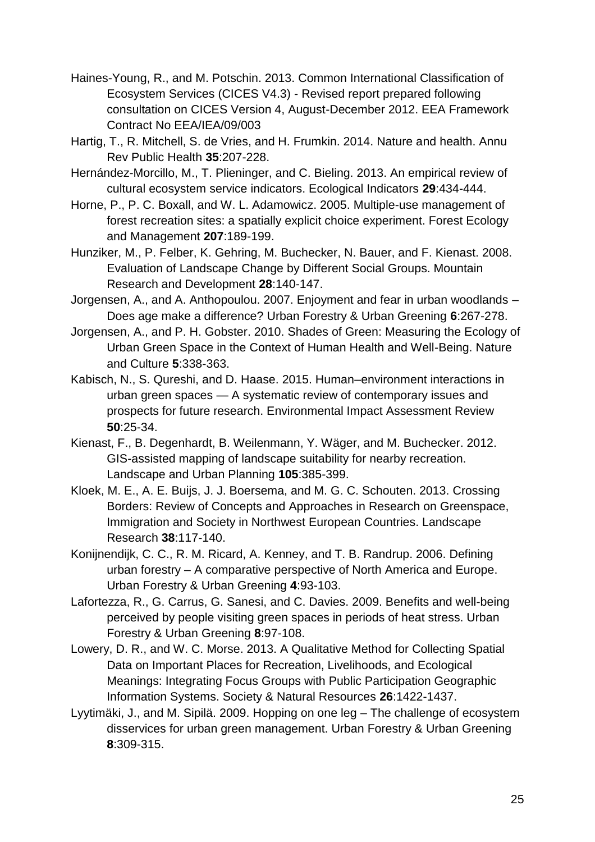- Haines-Young, R., and M. Potschin. 2013. Common International Classification of Ecosystem Services (CICES V4.3) - Revised report prepared following consultation on CICES Version 4, August-December 2012. EEA Framework Contract No EEA/IEA/09/003
- Hartig, T., R. Mitchell, S. de Vries, and H. Frumkin. 2014. Nature and health. Annu Rev Public Health **35**:207-228.
- Hernández-Morcillo, M., T. Plieninger, and C. Bieling. 2013. An empirical review of cultural ecosystem service indicators. Ecological Indicators **29**:434-444.
- Horne, P., P. C. Boxall, and W. L. Adamowicz. 2005. Multiple-use management of forest recreation sites: a spatially explicit choice experiment. Forest Ecology and Management **207**:189-199.
- Hunziker, M., P. Felber, K. Gehring, M. Buchecker, N. Bauer, and F. Kienast. 2008. Evaluation of Landscape Change by Different Social Groups. Mountain Research and Development **28**:140-147.
- Jorgensen, A., and A. Anthopoulou. 2007. Enjoyment and fear in urban woodlands Does age make a difference? Urban Forestry & Urban Greening **6**:267-278.
- Jorgensen, A., and P. H. Gobster. 2010. Shades of Green: Measuring the Ecology of Urban Green Space in the Context of Human Health and Well-Being. Nature and Culture **5**:338-363.
- Kabisch, N., S. Qureshi, and D. Haase. 2015. Human–environment interactions in urban green spaces — A systematic review of contemporary issues and prospects for future research. Environmental Impact Assessment Review **50**:25-34.
- Kienast, F., B. Degenhardt, B. Weilenmann, Y. Wäger, and M. Buchecker. 2012. GIS-assisted mapping of landscape suitability for nearby recreation. Landscape and Urban Planning **105**:385-399.
- Kloek, M. E., A. E. Buijs, J. J. Boersema, and M. G. C. Schouten. 2013. Crossing Borders: Review of Concepts and Approaches in Research on Greenspace, Immigration and Society in Northwest European Countries. Landscape Research **38**:117-140.
- Konijnendijk, C. C., R. M. Ricard, A. Kenney, and T. B. Randrup. 2006. Defining urban forestry – A comparative perspective of North America and Europe. Urban Forestry & Urban Greening **4**:93-103.
- Lafortezza, R., G. Carrus, G. Sanesi, and C. Davies. 2009. Benefits and well-being perceived by people visiting green spaces in periods of heat stress. Urban Forestry & Urban Greening **8**:97-108.
- Lowery, D. R., and W. C. Morse. 2013. A Qualitative Method for Collecting Spatial Data on Important Places for Recreation, Livelihoods, and Ecological Meanings: Integrating Focus Groups with Public Participation Geographic Information Systems. Society & Natural Resources **26**:1422-1437.
- Lyytimäki, J., and M. Sipilä. 2009. Hopping on one leg The challenge of ecosystem disservices for urban green management. Urban Forestry & Urban Greening **8**:309-315.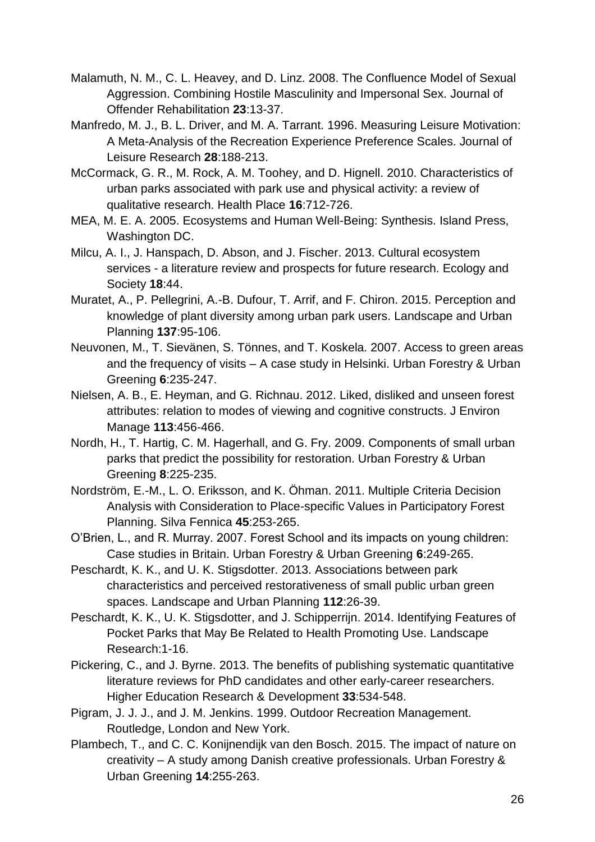- Malamuth, N. M., C. L. Heavey, and D. Linz. 2008. The Confluence Model of Sexual Aggression. Combining Hostile Masculinity and Impersonal Sex. Journal of Offender Rehabilitation **23**:13-37.
- Manfredo, M. J., B. L. Driver, and M. A. Tarrant. 1996. Measuring Leisure Motivation: A Meta-Analysis of the Recreation Experience Preference Scales. Journal of Leisure Research **28**:188-213.
- McCormack, G. R., M. Rock, A. M. Toohey, and D. Hignell. 2010. Characteristics of urban parks associated with park use and physical activity: a review of qualitative research. Health Place **16**:712-726.
- MEA, M. E. A. 2005. Ecosystems and Human Well-Being: Synthesis. Island Press, Washington DC.
- Milcu, A. I., J. Hanspach, D. Abson, and J. Fischer. 2013. Cultural ecosystem services - a literature review and prospects for future research. Ecology and Society **18**:44.
- Muratet, A., P. Pellegrini, A.-B. Dufour, T. Arrif, and F. Chiron. 2015. Perception and knowledge of plant diversity among urban park users. Landscape and Urban Planning **137**:95-106.
- Neuvonen, M., T. Sievänen, S. Tönnes, and T. Koskela. 2007. Access to green areas and the frequency of visits – A case study in Helsinki. Urban Forestry & Urban Greening **6**:235-247.
- Nielsen, A. B., E. Heyman, and G. Richnau. 2012. Liked, disliked and unseen forest attributes: relation to modes of viewing and cognitive constructs. J Environ Manage **113**:456-466.
- Nordh, H., T. Hartig, C. M. Hagerhall, and G. Fry. 2009. Components of small urban parks that predict the possibility for restoration. Urban Forestry & Urban Greening **8**:225-235.
- Nordström, E.-M., L. O. Eriksson, and K. Öhman. 2011. Multiple Criteria Decision Analysis with Consideration to Place-specific Values in Participatory Forest Planning. Silva Fennica **45**:253-265.
- O'Brien, L., and R. Murray. 2007. Forest School and its impacts on young children: Case studies in Britain. Urban Forestry & Urban Greening **6**:249-265.
- Peschardt, K. K., and U. K. Stigsdotter. 2013. Associations between park characteristics and perceived restorativeness of small public urban green spaces. Landscape and Urban Planning **112**:26-39.
- Peschardt, K. K., U. K. Stigsdotter, and J. Schipperrijn. 2014. Identifying Features of Pocket Parks that May Be Related to Health Promoting Use. Landscape Research:1-16.
- Pickering, C., and J. Byrne. 2013. The benefits of publishing systematic quantitative literature reviews for PhD candidates and other early-career researchers. Higher Education Research & Development **33**:534-548.
- Pigram, J. J. J., and J. M. Jenkins. 1999. Outdoor Recreation Management. Routledge, London and New York.
- Plambech, T., and C. C. Konijnendijk van den Bosch. 2015. The impact of nature on creativity – A study among Danish creative professionals. Urban Forestry & Urban Greening **14**:255-263.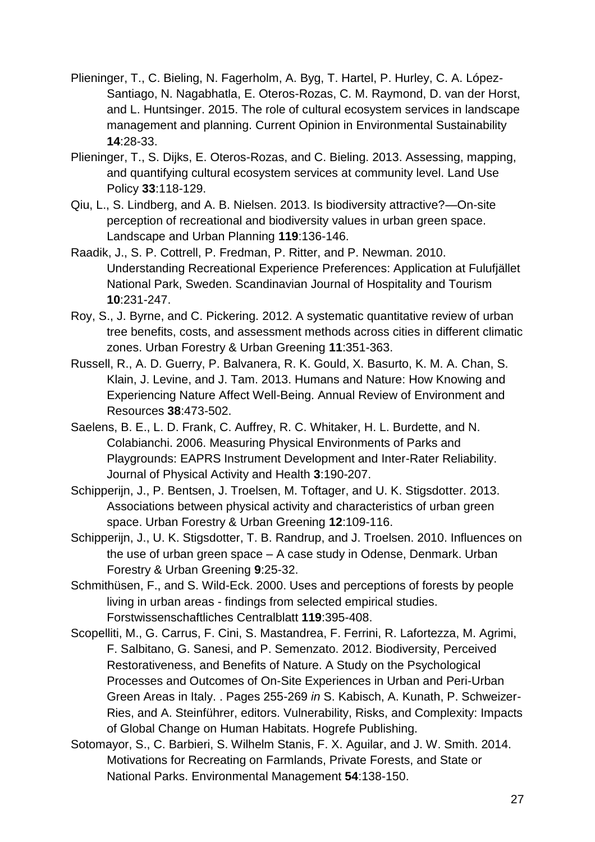- Plieninger, T., C. Bieling, N. Fagerholm, A. Byg, T. Hartel, P. Hurley, C. A. López-Santiago, N. Nagabhatla, E. Oteros-Rozas, C. M. Raymond, D. van der Horst, and L. Huntsinger. 2015. The role of cultural ecosystem services in landscape management and planning. Current Opinion in Environmental Sustainability **14**:28-33.
- Plieninger, T., S. Dijks, E. Oteros-Rozas, and C. Bieling. 2013. Assessing, mapping, and quantifying cultural ecosystem services at community level. Land Use Policy **33**:118-129.
- Qiu, L., S. Lindberg, and A. B. Nielsen. 2013. Is biodiversity attractive?—On-site perception of recreational and biodiversity values in urban green space. Landscape and Urban Planning **119**:136-146.
- Raadik, J., S. P. Cottrell, P. Fredman, P. Ritter, and P. Newman. 2010. Understanding Recreational Experience Preferences: Application at Fulufjället National Park, Sweden. Scandinavian Journal of Hospitality and Tourism **10**:231-247.
- Roy, S., J. Byrne, and C. Pickering. 2012. A systematic quantitative review of urban tree benefits, costs, and assessment methods across cities in different climatic zones. Urban Forestry & Urban Greening **11**:351-363.
- Russell, R., A. D. Guerry, P. Balvanera, R. K. Gould, X. Basurto, K. M. A. Chan, S. Klain, J. Levine, and J. Tam. 2013. Humans and Nature: How Knowing and Experiencing Nature Affect Well-Being. Annual Review of Environment and Resources **38**:473-502.
- Saelens, B. E., L. D. Frank, C. Auffrey, R. C. Whitaker, H. L. Burdette, and N. Colabianchi. 2006. Measuring Physical Environments of Parks and Playgrounds: EAPRS Instrument Development and Inter-Rater Reliability. Journal of Physical Activity and Health **3**:190-207.
- Schipperijn, J., P. Bentsen, J. Troelsen, M. Toftager, and U. K. Stigsdotter. 2013. Associations between physical activity and characteristics of urban green space. Urban Forestry & Urban Greening **12**:109-116.
- Schipperijn, J., U. K. Stigsdotter, T. B. Randrup, and J. Troelsen. 2010. Influences on the use of urban green space – A case study in Odense, Denmark. Urban Forestry & Urban Greening **9**:25-32.
- Schmithüsen, F., and S. Wild-Eck. 2000. Uses and perceptions of forests by people living in urban areas - findings from selected empirical studies. Forstwissenschaftliches Centralblatt **119**:395-408.
- Scopelliti, M., G. Carrus, F. Cini, S. Mastandrea, F. Ferrini, R. Lafortezza, M. Agrimi, F. Salbitano, G. Sanesi, and P. Semenzato. 2012. Biodiversity, Perceived Restorativeness, and Benefits of Nature. A Study on the Psychological Processes and Outcomes of On-Site Experiences in Urban and Peri-Urban Green Areas in Italy. . Pages 255-269 *in* S. Kabisch, A. Kunath, P. Schweizer-Ries, and A. Steinführer, editors. Vulnerability, Risks, and Complexity: Impacts of Global Change on Human Habitats. Hogrefe Publishing.
- Sotomayor, S., C. Barbieri, S. Wilhelm Stanis, F. X. Aguilar, and J. W. Smith. 2014. Motivations for Recreating on Farmlands, Private Forests, and State or National Parks. Environmental Management **54**:138-150.